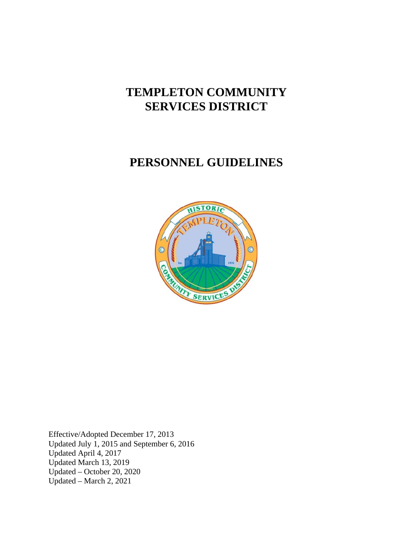# **TEMPLETON COMMUNITY SERVICES DISTRICT**

# **PERSONNEL GUIDELINES**



Effective/Adopted December 17, 2013 Updated July 1, 2015 and September 6, 2016 Updated April 4, 2017 Updated March 13, 2019 Updated – October 20, 2020 Updated – March 2, 2021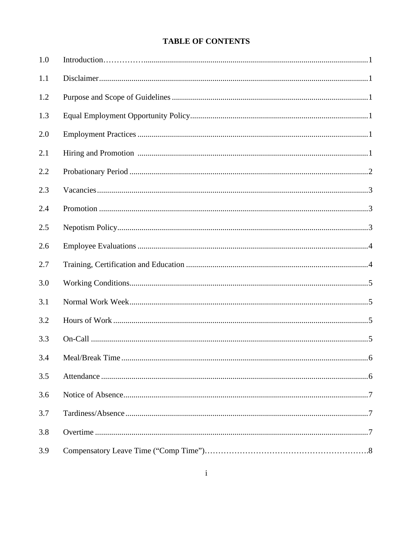# **TABLE OF CONTENTS**

| 1.0 |                      |
|-----|----------------------|
| 1.1 |                      |
| 1.2 |                      |
| 1.3 |                      |
| 2.0 |                      |
| 2.1 |                      |
| 2.2 |                      |
| 2.3 |                      |
| 2.4 |                      |
| 2.5 |                      |
| 2.6 |                      |
| 2.7 |                      |
| 3.0 |                      |
| 3.1 |                      |
| 3.2 |                      |
| 3.3 |                      |
| 3.4 | Meal/Break Time<br>6 |
| 3.5 |                      |
| 3.6 |                      |
| 3.7 |                      |
| 3.8 |                      |
| 3.9 |                      |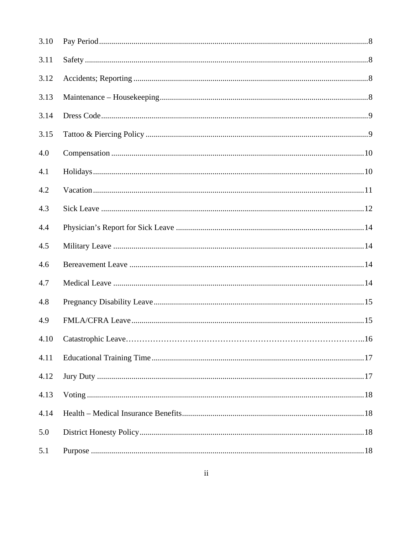| 3.10 |  |
|------|--|
| 3.11 |  |
| 3.12 |  |
| 3.13 |  |
| 3.14 |  |
| 3.15 |  |
| 4.0  |  |
| 4.1  |  |
| 4.2  |  |
| 4.3  |  |
| 4.4  |  |
| 4.5  |  |
| 4.6  |  |
| 4.7  |  |
| 4.8  |  |
| 4.9  |  |
|      |  |
| 4.11 |  |
| 4.12 |  |
| 4.13 |  |
| 4.14 |  |
| 5.0  |  |
| 5.1  |  |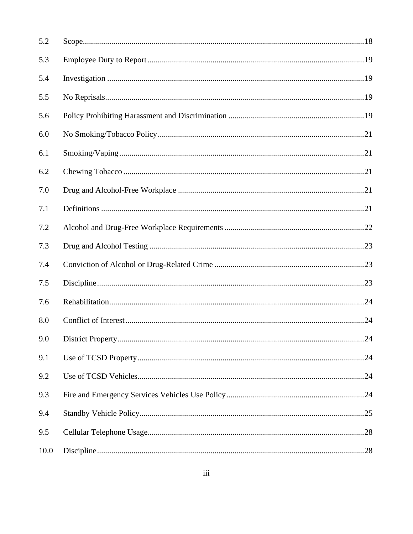| 5.2  |  |
|------|--|
| 5.3  |  |
| 5.4  |  |
| 5.5  |  |
| 5.6  |  |
| 6.0  |  |
| 6.1  |  |
| 6.2  |  |
| 7.0  |  |
| 7.1  |  |
| 7.2  |  |
| 7.3  |  |
| 7.4  |  |
| 7.5  |  |
| 7.6  |  |
| 8.0  |  |
| 9.0  |  |
| 9.1  |  |
| 9.2  |  |
| 9.3  |  |
| 9.4  |  |
| 9.5  |  |
| 10.0 |  |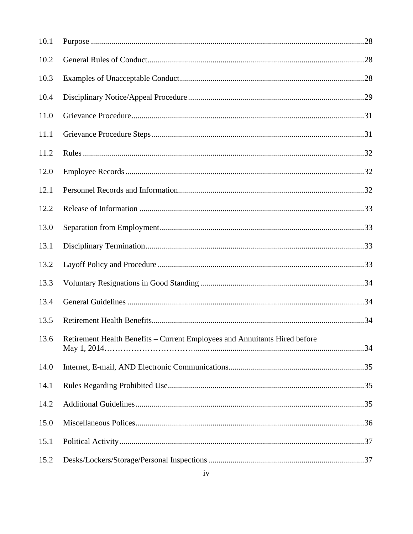| 10.1 |                                                                                 |  |
|------|---------------------------------------------------------------------------------|--|
| 10.2 |                                                                                 |  |
| 10.3 |                                                                                 |  |
| 10.4 |                                                                                 |  |
| 11.0 |                                                                                 |  |
| 11.1 |                                                                                 |  |
| 11.2 |                                                                                 |  |
| 12.0 |                                                                                 |  |
| 12.1 |                                                                                 |  |
| 12.2 |                                                                                 |  |
| 13.0 |                                                                                 |  |
| 13.1 |                                                                                 |  |
| 13.2 |                                                                                 |  |
| 13.3 |                                                                                 |  |
| 13.4 |                                                                                 |  |
| 13.5 |                                                                                 |  |
|      | 13.6 Retirement Health Benefits – Current Employees and Annuitants Hired before |  |
| 14.0 |                                                                                 |  |
| 14.1 |                                                                                 |  |
| 14.2 |                                                                                 |  |
| 15.0 |                                                                                 |  |
| 15.1 |                                                                                 |  |
| 15.2 |                                                                                 |  |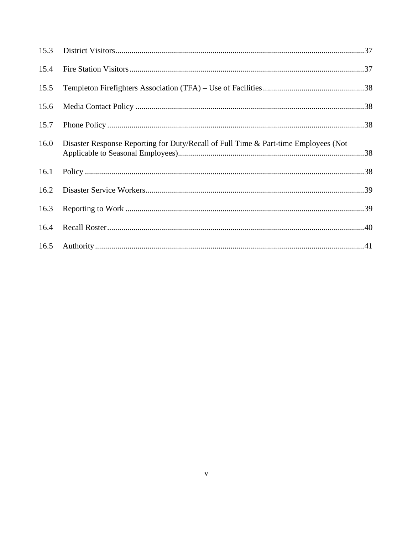| 15.4 |                                                                                     |  |
|------|-------------------------------------------------------------------------------------|--|
| 15.5 |                                                                                     |  |
| 15.6 |                                                                                     |  |
| 15.7 |                                                                                     |  |
| 16.0 | Disaster Response Reporting for Duty/Recall of Full Time & Part-time Employees (Not |  |
| 16.1 |                                                                                     |  |
| 16.2 |                                                                                     |  |
| 16.3 |                                                                                     |  |
|      |                                                                                     |  |
|      |                                                                                     |  |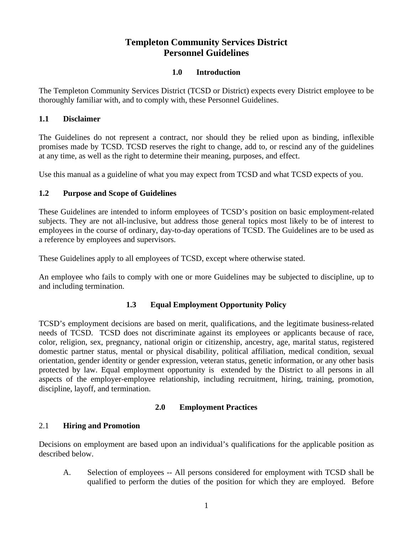# **Templeton Community Services District Personnel Guidelines**

## **1.0 Introduction**

The Templeton Community Services District (TCSD or District) expects every District employee to be thoroughly familiar with, and to comply with, these Personnel Guidelines.

## **1.1 Disclaimer**

The Guidelines do not represent a contract, nor should they be relied upon as binding, inflexible promises made by TCSD. TCSD reserves the right to change, add to, or rescind any of the guidelines at any time, as well as the right to determine their meaning, purposes, and effect.

Use this manual as a guideline of what you may expect from TCSD and what TCSD expects of you.

# **1.2 Purpose and Scope of Guidelines**

These Guidelines are intended to inform employees of TCSD's position on basic employment-related subjects. They are not all-inclusive, but address those general topics most likely to be of interest to employees in the course of ordinary, day-to-day operations of TCSD. The Guidelines are to be used as a reference by employees and supervisors.

These Guidelines apply to all employees of TCSD, except where otherwise stated.

An employee who fails to comply with one or more Guidelines may be subjected to discipline, up to and including termination.

# **1.3 Equal Employment Opportunity Policy**

TCSD's employment decisions are based on merit, qualifications, and the legitimate business-related needs of TCSD. TCSD does not discriminate against its employees or applicants because of race, color, religion, sex, pregnancy, national origin or citizenship, ancestry, age, marital status, registered domestic partner status, mental or physical disability, political affiliation, medical condition, sexual orientation, gender identity or gender expression, veteran status, genetic information, or any other basis protected by law. Equal employment opportunity is extended by the District to all persons in all aspects of the employer-employee relationship, including recruitment, hiring, training, promotion, discipline, layoff, and termination.

# **2.0 Employment Practices**

# 2.1 **Hiring and Promotion**

Decisions on employment are based upon an individual's qualifications for the applicable position as described below.

A. Selection of employees -- All persons considered for employment with TCSD shall be qualified to perform the duties of the position for which they are employed. Before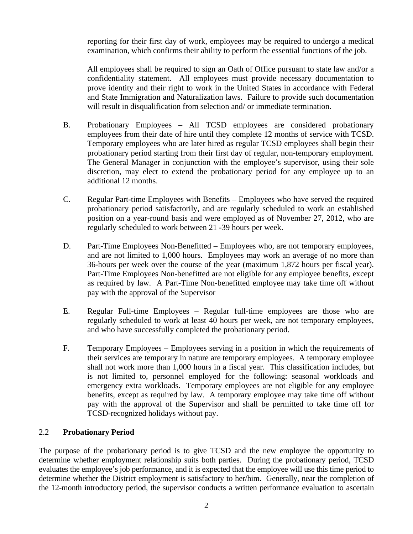reporting for their first day of work, employees may be required to undergo a medical examination, which confirms their ability to perform the essential functions of the job.

All employees shall be required to sign an Oath of Office pursuant to state law and/or a confidentiality statement. All employees must provide necessary documentation to prove identity and their right to work in the United States in accordance with Federal and State Immigration and Naturalization laws. Failure to provide such documentation will result in disqualification from selection and/ or immediate termination.

- B. Probationary Employees All TCSD employees are considered probationary employees from their date of hire until they complete 12 months of service with TCSD. Temporary employees who are later hired as regular TCSD employees shall begin their probationary period starting from their first day of regular, non-temporary employment. The General Manager in conjunction with the employee's supervisor, using their sole discretion, may elect to extend the probationary period for any employee up to an additional 12 months.
- C. Regular Part-time Employees with Benefits Employees who have served the required probationary period satisfactorily, and are regularly scheduled to work an established position on a year-round basis and were employed as of November 27, 2012, who are regularly scheduled to work between 21 -39 hours per week.
- D. Part-Time Employees Non-Benefitted Employees who, are not temporary employees, and are not limited to 1,000 hours. Employees may work an average of no more than 36-hours per week over the course of the year (maximum 1,872 hours per fiscal year). Part-Time Employees Non-benefitted are not eligible for any employee benefits, except as required by law. A Part-Time Non-benefitted employee may take time off without pay with the approval of the Supervisor
- E. Regular Full-time Employees Regular full-time employees are those who are regularly scheduled to work at least 40 hours per week, are not temporary employees, and who have successfully completed the probationary period.
- F. Temporary Employees Employees serving in a position in which the requirements of their services are temporary in nature are temporary employees. A temporary employee shall not work more than 1,000 hours in a fiscal year. This classification includes, but is not limited to, personnel employed for the following: seasonal workloads and emergency extra workloads. Temporary employees are not eligible for any employee benefits, except as required by law. A temporary employee may take time off without pay with the approval of the Supervisor and shall be permitted to take time off for TCSD-recognized holidays without pay.

## 2.2 **Probationary Period**

The purpose of the probationary period is to give TCSD and the new employee the opportunity to determine whether employment relationship suits both parties. During the probationary period, TCSD evaluates the employee's job performance, and it is expected that the employee will use this time period to determine whether the District employment is satisfactory to her/him. Generally, near the completion of the 12-month introductory period, the supervisor conducts a written performance evaluation to ascertain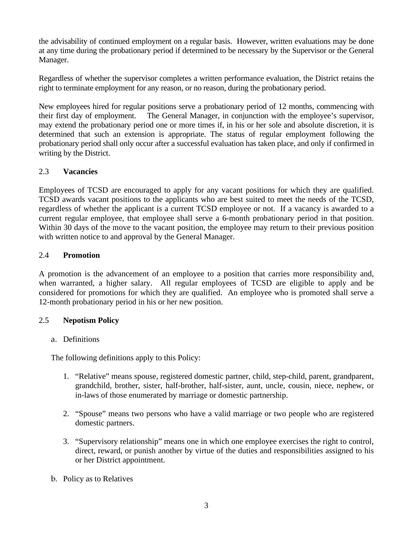the advisability of continued employment on a regular basis. However, written evaluations may be done at any time during the probationary period if determined to be necessary by the Supervisor or the General Manager.

Regardless of whether the supervisor completes a written performance evaluation, the District retains the right to terminate employment for any reason, or no reason, during the probationary period.

New employees hired for regular positions serve a probationary period of 12 months, commencing with their first day of employment. The General Manager, in conjunction with the employee's supervisor, may extend the probationary period one or more times if, in his or her sole and absolute discretion, it is determined that such an extension is appropriate. The status of regular employment following the probationary period shall only occur after a successful evaluation has taken place, and only if confirmed in writing by the District.

## 2.3 **Vacancies**

Employees of TCSD are encouraged to apply for any vacant positions for which they are qualified. TCSD awards vacant positions to the applicants who are best suited to meet the needs of the TCSD, regardless of whether the applicant is a current TCSD employee or not. If a vacancy is awarded to a current regular employee, that employee shall serve a 6-month probationary period in that position. Within 30 days of the move to the vacant position, the employee may return to their previous position with written notice to and approval by the General Manager.

## 2.4 **Promotion**

A promotion is the advancement of an employee to a position that carries more responsibility and, when warranted, a higher salary. All regular employees of TCSD are eligible to apply and be considered for promotions for which they are qualified. An employee who is promoted shall serve a 12-month probationary period in his or her new position.

## 2.5 **Nepotism Policy**

## a. Definitions

The following definitions apply to this Policy:

- 1. "Relative" means spouse, registered domestic partner, child, step-child, parent, grandparent, grandchild, brother, sister, half-brother, half-sister, aunt, uncle, cousin, niece, nephew, or in-laws of those enumerated by marriage or domestic partnership.
- 2. "Spouse" means two persons who have a valid marriage or two people who are registered domestic partners.
- 3. "Supervisory relationship" means one in which one employee exercises the right to control, direct, reward, or punish another by virtue of the duties and responsibilities assigned to his or her District appointment.
- b. Policy as to Relatives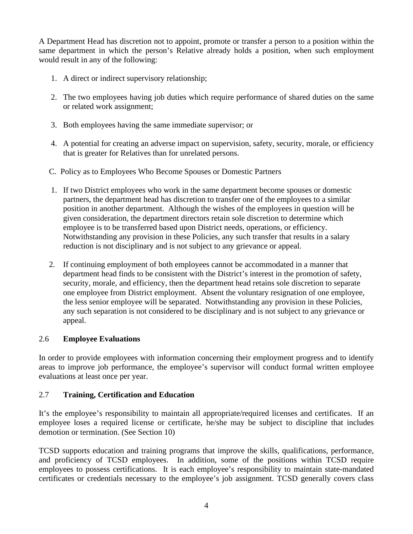A Department Head has discretion not to appoint, promote or transfer a person to a position within the same department in which the person's Relative already holds a position, when such employment would result in any of the following:

- 1. A direct or indirect supervisory relationship;
- 2. The two employees having job duties which require performance of shared duties on the same or related work assignment;
- 3. Both employees having the same immediate supervisor; or
- 4. A potential for creating an adverse impact on supervision, safety, security, morale, or efficiency that is greater for Relatives than for unrelated persons.
- C. Policy as to Employees Who Become Spouses or Domestic Partners
- 1. If two District employees who work in the same department become spouses or domestic partners, the department head has discretion to transfer one of the employees to a similar position in another department. Although the wishes of the employees in question will be given consideration, the department directors retain sole discretion to determine which employee is to be transferred based upon District needs, operations, or efficiency. Notwithstanding any provision in these Policies, any such transfer that results in a salary reduction is not disciplinary and is not subject to any grievance or appeal.
- 2. If continuing employment of both employees cannot be accommodated in a manner that department head finds to be consistent with the District's interest in the promotion of safety, security, morale, and efficiency, then the department head retains sole discretion to separate one employee from District employment. Absent the voluntary resignation of one employee, the less senior employee will be separated. Notwithstanding any provision in these Policies, any such separation is not considered to be disciplinary and is not subject to any grievance or appeal.

# 2.6 **Employee Evaluations**

In order to provide employees with information concerning their employment progress and to identify areas to improve job performance, the employee's supervisor will conduct formal written employee evaluations at least once per year.

# 2.7 **Training, Certification and Education**

It's the employee's responsibility to maintain all appropriate/required licenses and certificates. If an employee loses a required license or certificate, he/she may be subject to discipline that includes demotion or termination. (See Section 10)

TCSD supports education and training programs that improve the skills, qualifications, performance, and proficiency of TCSD employees. In addition, some of the positions within TCSD require employees to possess certifications. It is each employee's responsibility to maintain state-mandated certificates or credentials necessary to the employee's job assignment. TCSD generally covers class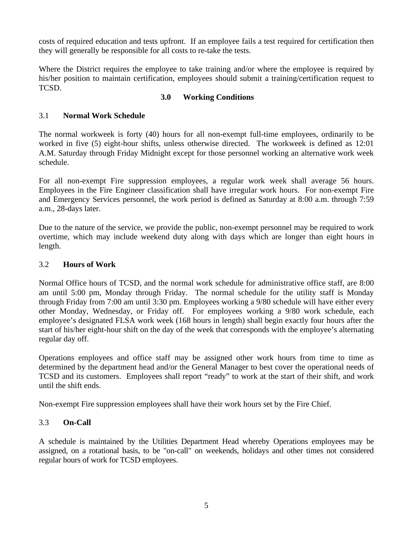costs of required education and tests upfront. If an employee fails a test required for certification then they will generally be responsible for all costs to re-take the tests.

Where the District requires the employee to take training and/or where the employee is required by his/her position to maintain certification, employees should submit a training/certification request to TCSD.

## **3.0 Working Conditions**

## 3.1 **Normal Work Schedule**

The normal workweek is forty (40) hours for all non-exempt full-time employees, ordinarily to be worked in five (5) eight-hour shifts, unless otherwise directed. The workweek is defined as 12:01 A.M. Saturday through Friday Midnight except for those personnel working an alternative work week schedule.

For all non-exempt Fire suppression employees, a regular work week shall average 56 hours. Employees in the Fire Engineer classification shall have irregular work hours. For non-exempt Fire and Emergency Services personnel, the work period is defined as Saturday at 8:00 a.m. through 7:59 a.m., 28-days later.

Due to the nature of the service, we provide the public, non-exempt personnel may be required to work overtime, which may include weekend duty along with days which are longer than eight hours in length.

## 3.2 **Hours of Work**

Normal Office hours of TCSD, and the normal work schedule for administrative office staff, are 8:00 am until 5:00 pm, Monday through Friday. The normal schedule for the utility staff is Monday through Friday from 7:00 am until 3:30 pm. Employees working a 9/80 schedule will have either every other Monday, Wednesday, or Friday off. For employees working a 9/80 work schedule, each employee's designated FLSA work week (168 hours in length) shall begin exactly four hours after the start of his/her eight-hour shift on the day of the week that corresponds with the employee's alternating regular day off.

Operations employees and office staff may be assigned other work hours from time to time as determined by the department head and/or the General Manager to best cover the operational needs of TCSD and its customers. Employees shall report "ready" to work at the start of their shift, and work until the shift ends.

Non-exempt Fire suppression employees shall have their work hours set by the Fire Chief.

# 3.3 **On-Call**

A schedule is maintained by the Utilities Department Head whereby Operations employees may be assigned, on a rotational basis, to be "on-call" on weekends, holidays and other times not considered regular hours of work for TCSD employees.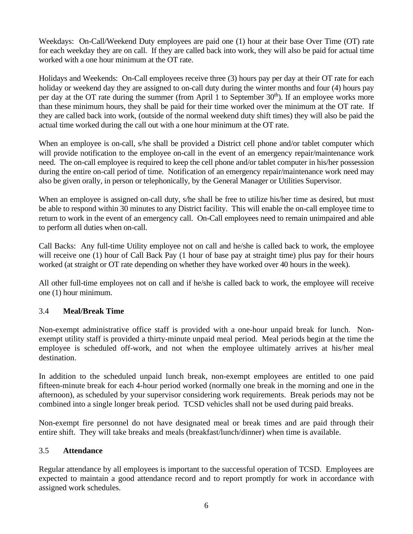Weekdays: On-Call/Weekend Duty employees are paid one (1) hour at their base Over Time (OT) rate for each weekday they are on call. If they are called back into work, they will also be paid for actual time worked with a one hour minimum at the OT rate.

Holidays and Weekends: On-Call employees receive three (3) hours pay per day at their OT rate for each holiday or weekend day they are assigned to on-call duty during the winter months and four (4) hours pay per day at the OT rate during the summer (from April 1 to September  $30<sup>th</sup>$ ). If an employee works more than these minimum hours, they shall be paid for their time worked over the minimum at the OT rate. If they are called back into work, (outside of the normal weekend duty shift times) they will also be paid the actual time worked during the call out with a one hour minimum at the OT rate.

When an employee is on-call, s/he shall be provided a District cell phone and/or tablet computer which will provide notification to the employee on-call in the event of an emergency repair/maintenance work need. The on-call employee is required to keep the cell phone and/or tablet computer in his/her possession during the entire on-call period of time. Notification of an emergency repair/maintenance work need may also be given orally, in person or telephonically, by the General Manager or Utilities Supervisor.

When an employee is assigned on-call duty, s/he shall be free to utilize his/her time as desired, but must be able to respond within 30 minutes to any District facility. This will enable the on-call employee time to return to work in the event of an emergency call. On-Call employees need to remain unimpaired and able to perform all duties when on-call.

Call Backs: Any full-time Utility employee not on call and he/she is called back to work, the employee will receive one (1) hour of Call Back Pay (1 hour of base pay at straight time) plus pay for their hours worked (at straight or OT rate depending on whether they have worked over 40 hours in the week).

All other full-time employees not on call and if he/she is called back to work, the employee will receive one (1) hour minimum.

## 3.4 **Meal/Break Time**

Non-exempt administrative office staff is provided with a one-hour unpaid break for lunch. Nonexempt utility staff is provided a thirty-minute unpaid meal period. Meal periods begin at the time the employee is scheduled off-work, and not when the employee ultimately arrives at his/her meal destination.

In addition to the scheduled unpaid lunch break, non-exempt employees are entitled to one paid fifteen-minute break for each 4-hour period worked (normally one break in the morning and one in the afternoon), as scheduled by your supervisor considering work requirements. Break periods may not be combined into a single longer break period. TCSD vehicles shall not be used during paid breaks.

Non-exempt fire personnel do not have designated meal or break times and are paid through their entire shift. They will take breaks and meals (breakfast/lunch/dinner) when time is available.

## 3.5 **Attendance**

Regular attendance by all employees is important to the successful operation of TCSD. Employees are expected to maintain a good attendance record and to report promptly for work in accordance with assigned work schedules.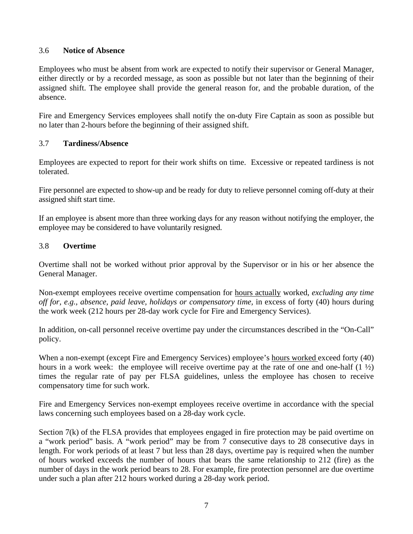#### 3.6 **Notice of Absence**

Employees who must be absent from work are expected to notify their supervisor or General Manager, either directly or by a recorded message, as soon as possible but not later than the beginning of their assigned shift. The employee shall provide the general reason for, and the probable duration, of the absence.

Fire and Emergency Services employees shall notify the on-duty Fire Captain as soon as possible but no later than 2-hours before the beginning of their assigned shift.

#### 3.7 **Tardiness/Absence**

Employees are expected to report for their work shifts on time. Excessive or repeated tardiness is not tolerated.

Fire personnel are expected to show-up and be ready for duty to relieve personnel coming off-duty at their assigned shift start time.

If an employee is absent more than three working days for any reason without notifying the employer, the employee may be considered to have voluntarily resigned.

#### 3*.*8 **Overtime**

Overtime shall not be worked without prior approval by the Supervisor or in his or her absence the General Manager.

Non-exempt employees receive overtime compensation for hours actually worked, *excluding any time off for, e.g., absence, paid leave, holidays or compensatory time,* in excess of forty (40) hours during the work week (212 hours per 28-day work cycle for Fire and Emergency Services).

In addition, on-call personnel receive overtime pay under the circumstances described in the "On-Call" policy.

When a non-exempt (except Fire and Emergency Services) employee's hours worked exceed forty (40) hours in a work week: the employee will receive overtime pay at the rate of one and one-half  $(1 \frac{1}{2})$ times the regular rate of pay per FLSA guidelines, unless the employee has chosen to receive compensatory time for such work.

Fire and Emergency Services non-exempt employees receive overtime in accordance with the special laws concerning such employees based on a 28-day work cycle.

Section 7(k) of the FLSA provides that employees engaged in fire protection may be paid overtime on a "work period" basis. A "work period" may be from 7 consecutive days to 28 consecutive days in length. For work periods of at least 7 but less than 28 days, overtime pay is required when the number of hours worked exceeds the number of hours that bears the same relationship to 212 (fire) as the number of days in the work period bears to 28. For example, fire protection personnel are due overtime under such a plan after 212 hours worked during a 28-day work period.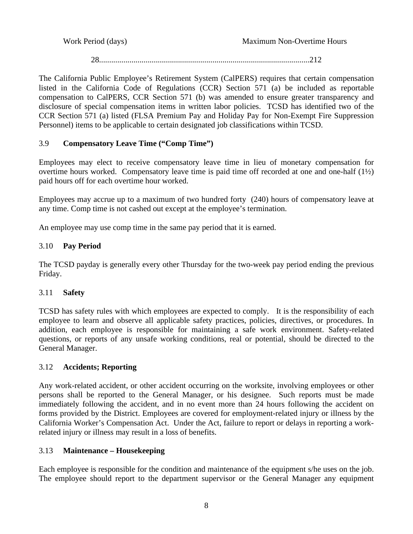28........................................................................................................212

The California Public Employee's Retirement System (CalPERS) requires that certain compensation listed in the California Code of Regulations (CCR) Section 571 (a) be included as reportable compensation to CalPERS, CCR Section 571 (b) was amended to ensure greater transparency and disclosure of special compensation items in written labor policies. TCSD has identified two of the CCR Section 571 (a) listed (FLSA Premium Pay and Holiday Pay for Non-Exempt Fire Suppression Personnel) items to be applicable to certain designated job classifications within TCSD.

## 3.9 **Compensatory Leave Time ("Comp Time")**

Employees may elect to receive compensatory leave time in lieu of monetary compensation for overtime hours worked. Compensatory leave time is paid time off recorded at one and one-half  $(1/2)$ paid hours off for each overtime hour worked.

Employees may accrue up to a maximum of two hundred forty (240) hours of compensatory leave at any time. Comp time is not cashed out except at the employee's termination.

An employee may use comp time in the same pay period that it is earned.

# 3.10 **Pay Period**

The TCSD payday is generally every other Thursday for the two-week pay period ending the previous Friday.

# 3.11 **Safety**

TCSD has safety rules with which employees are expected to comply. It is the responsibility of each employee to learn and observe all applicable safety practices, policies, directives, or procedures. In addition, each employee is responsible for maintaining a safe work environment. Safety-related questions, or reports of any unsafe working conditions, real or potential, should be directed to the General Manager.

# 3.12 **Accidents; Reporting**

Any work-related accident, or other accident occurring on the worksite, involving employees or other persons shall be reported to the General Manager, or his designee. Such reports must be made immediately following the accident, and in no event more than 24 hours following the accident on forms provided by the District. Employees are covered for employment-related injury or illness by the California Worker's Compensation Act. Under the Act, failure to report or delays in reporting a workrelated injury or illness may result in a loss of benefits.

# 3.13 **Maintenance – Housekeeping**

Each employee is responsible for the condition and maintenance of the equipment s/he uses on the job. The employee should report to the department supervisor or the General Manager any equipment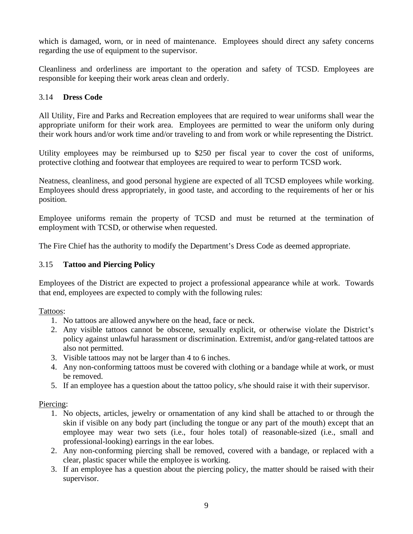which is damaged, worn, or in need of maintenance. Employees should direct any safety concerns regarding the use of equipment to the supervisor.

Cleanliness and orderliness are important to the operation and safety of TCSD. Employees are responsible for keeping their work areas clean and orderly.

#### 3.14 **Dress Code**

All Utility, Fire and Parks and Recreation employees that are required to wear uniforms shall wear the appropriate uniform for their work area. Employees are permitted to wear the uniform only during their work hours and/or work time and/or traveling to and from work or while representing the District.

Utility employees may be reimbursed up to \$250 per fiscal year to cover the cost of uniforms, protective clothing and footwear that employees are required to wear to perform TCSD work.

Neatness, cleanliness, and good personal hygiene are expected of all TCSD employees while working. Employees should dress appropriately, in good taste, and according to the requirements of her or his position.

Employee uniforms remain the property of TCSD and must be returned at the termination of employment with TCSD, or otherwise when requested.

The Fire Chief has the authority to modify the Department's Dress Code as deemed appropriate.

#### 3.15 **Tattoo and Piercing Policy**

Employees of the District are expected to project a professional appearance while at work. Towards that end, employees are expected to comply with the following rules:

#### Tattoos:

- 1. No tattoos are allowed anywhere on the head, face or neck.
- 2. Any visible tattoos cannot be obscene, sexually explicit, or otherwise violate the District's policy against unlawful harassment or discrimination. Extremist, and/or gang-related tattoos are also not permitted.
- 3. Visible tattoos may not be larger than 4 to 6 inches.
- 4. Any non-conforming tattoos must be covered with clothing or a bandage while at work, or must be removed.
- 5. If an employee has a question about the tattoo policy, s/he should raise it with their supervisor.

#### Piercing:

- 1. No objects, articles, jewelry or ornamentation of any kind shall be attached to or through the skin if visible on any body part (including the tongue or any part of the mouth) except that an employee may wear two sets (i.e., four holes total) of reasonable-sized (i.e., small and professional-looking) earrings in the ear lobes.
- 2. Any non-conforming piercing shall be removed, covered with a bandage, or replaced with a clear, plastic spacer while the employee is working.
- 3. If an employee has a question about the piercing policy, the matter should be raised with their supervisor.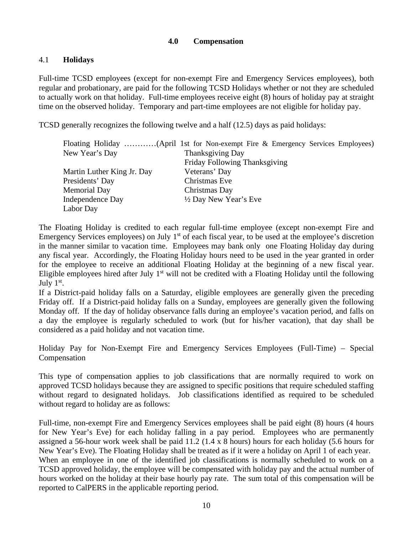## **4.0 Compensation**

## 4.1 **Holidays**

Full-time TCSD employees (except for non-exempt Fire and Emergency Services employees), both regular and probationary, are paid for the following TCSD Holidays whether or not they are scheduled to actually work on that holiday. Full-time employees receive eight (8) hours of holiday pay at straight time on the observed holiday. Temporary and part-time employees are not eligible for holiday pay.

TCSD generally recognizes the following twelve and a half (12.5) days as paid holidays:

|                            | Floating Holiday (April 1st for Non-exempt Fire & Emergency Services Employees) |
|----------------------------|---------------------------------------------------------------------------------|
| New Year's Day             | <b>Thanksgiving Day</b>                                                         |
|                            | Friday Following Thanksgiving                                                   |
| Martin Luther King Jr. Day | Veterans' Day                                                                   |
| Presidents' Day            | Christmas Eve                                                                   |
| <b>Memorial Day</b>        | Christmas Day                                                                   |
| <b>Independence Day</b>    | $\frac{1}{2}$ Day New Year's Eve                                                |
| Labor Day                  |                                                                                 |
|                            |                                                                                 |

The Floating Holiday is credited to each regular full-time employee (except non-exempt Fire and Emergency Services employees) on July  $1<sup>st</sup>$  of each fiscal year, to be used at the employee's discretion in the manner similar to vacation time. Employees may bank only one Floating Holiday day during any fiscal year. Accordingly, the Floating Holiday hours need to be used in the year granted in order for the employee to receive an additional Floating Holiday at the beginning of a new fiscal year. Eligible employees hired after July  $1<sup>st</sup>$  will not be credited with a Floating Holiday until the following July  $1<sup>st</sup>$ .

If a District-paid holiday falls on a Saturday, eligible employees are generally given the preceding Friday off. If a District-paid holiday falls on a Sunday, employees are generally given the following Monday off. If the day of holiday observance falls during an employee's vacation period, and falls on a day the employee is regularly scheduled to work (but for his/her vacation), that day shall be considered as a paid holiday and not vacation time.

Holiday Pay for Non-Exempt Fire and Emergency Services Employees (Full-Time) – Special Compensation

This type of compensation applies to job classifications that are normally required to work on approved TCSD holidays because they are assigned to specific positions that require scheduled staffing without regard to designated holidays. Job classifications identified as required to be scheduled without regard to holiday are as follows:

Full-time, non-exempt Fire and Emergency Services employees shall be paid eight (8) hours (4 hours for New Year's Eve) for each holiday falling in a pay period. Employees who are permanently assigned a 56-hour work week shall be paid 11.2 (1.4 x 8 hours) hours for each holiday (5.6 hours for New Year's Eve). The Floating Holiday shall be treated as if it were a holiday on April 1 of each year. When an employee in one of the identified job classifications is normally scheduled to work on a TCSD approved holiday, the employee will be compensated with holiday pay and the actual number of hours worked on the holiday at their base hourly pay rate. The sum total of this compensation will be reported to CalPERS in the applicable reporting period.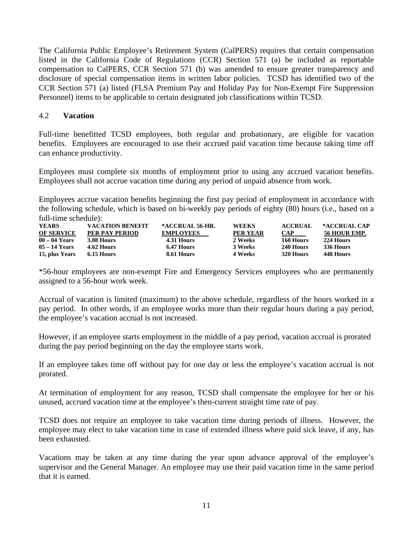The California Public Employee's Retirement System (CalPERS) requires that certain compensation listed in the California Code of Regulations (CCR) Section 571 (a) be included as reportable compensation to CalPERS, CCR Section 571 (b) was amended to ensure greater transparency and disclosure of special compensation items in written labor policies. TCSD has identified two of the CCR Section 571 (a) listed (FLSA Premium Pay and Holiday Pay for Non-Exempt Fire Suppression Personnel) items to be applicable to certain designated job classifications within TCSD.

#### 4.2 **Vacation**

Full-time benefitted TCSD employees, both regular and probationary, are eligible for vacation benefits. Employees are encouraged to use their accrued paid vacation time because taking time off can enhance productivity.

Employees must complete six months of employment prior to using any accrued vacation benefits. Employees shall not accrue vacation time during any period of unpaid absence from work.

Employees accrue vacation benefits beginning the first pay period of employment in accordance with the following schedule, which is based on bi-weekly pay periods of eighty (80) hours (i.e., based on a full-time schedule):

| <b>YEARS</b>      | <b>VACATION BENEFIT</b> | *ACCRUAL 56-HR.  | <b>WEEKS</b>    | <b>ACCRUAL</b> | *ACCRUAL CAP |
|-------------------|-------------------------|------------------|-----------------|----------------|--------------|
| <b>OF SERVICE</b> | PER PAY PERIOD          | <b>EMPLOYEES</b> | <b>PER YEAR</b> | <b>CAP</b>     | 56 HOUR EMP. |
| $00 - 04$ Years   | 3.08 Hours              | 4.31 Hours       | 2 Weeks         | 160 Hours      | 224 Hours    |
| $05 - 14$ Years   | 4.62 Hours              | 6.47 Hours       | 3 Weeks         | 240 Hours      | 336 Hours    |
| 15, plus Years    | 6.15 Hours              | 8.61 Hours       | 4 Weeks         | 320 Hours      | 448 Hours    |

\*56-hour employees are non-exempt Fire and Emergency Services employees who are permanently assigned to a 56-hour work week.

Accrual of vacation is limited (maximum) to the above schedule, regardless of the hours worked in a pay period. In other words, if an employee works more than their regular hours during a pay period, the employee's vacation accrual is not increased.

However, if an employee starts employment in the middle of a pay period, vacation accrual is prorated during the pay period beginning on the day the employee starts work.

If an employee takes time off without pay for one day or less the employee's vacation accrual is not prorated.

At termination of employment for any reason, TCSD shall compensate the employee for her or his unused, accrued vacation time at the employee's then-current straight time rate of pay.

TCSD does not require an employee to take vacation time during periods of illness. However, the employee may elect to take vacation time in case of extended illness where paid sick leave, if any, has been exhausted.

Vacations may be taken at any time during the year upon advance approval of the employee's supervisor and the General Manager. An employee may use their paid vacation time in the same period that it is earned.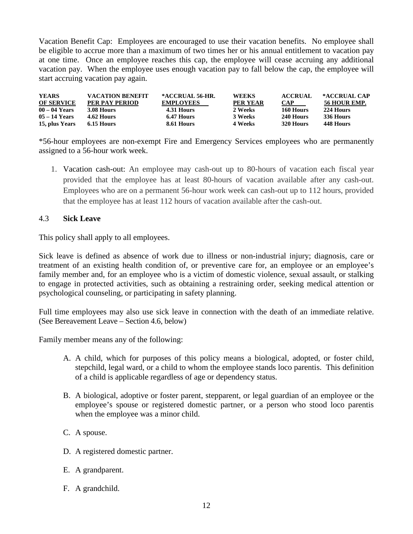Vacation Benefit Cap: Employees are encouraged to use their vacation benefits. No employee shall be eligible to accrue more than a maximum of two times her or his annual entitlement to vacation pay at one time. Once an employee reaches this cap, the employee will cease accruing any additional vacation pay. When the employee uses enough vacation pay to fall below the cap, the employee will start accruing vacation pay again.

| <b>YEARS</b>      | <b>VACATION BENEFIT</b> | *ACCRUAL 56-HR.  | <b>WEEKS</b>    | <b>ACCRUAL</b> | *ACCRUAL CAP |
|-------------------|-------------------------|------------------|-----------------|----------------|--------------|
| <b>OF SERVICE</b> | PER PAY PERIOD          | <b>EMPLOYEES</b> | <b>PER YEAR</b> | <b>CAP</b>     | 56 HOUR EMP. |
| $00 - 04$ Years   | 3.08 Hours              | 4.31 Hours       | 2 Weeks         | 160 Hours      | 224 Hours    |
| $05 - 14$ Years   | 4.62 Hours              | 6.47 Hours       | 3 Weeks         | 240 Hours      | 336 Hours    |
| 15, plus Years    | 6.15 Hours              | 8.61 Hours       | 4 Weeks         | 320 Hours      | 448 Hours    |

\*56-hour employees are non-exempt Fire and Emergency Services employees who are permanently assigned to a 56-hour work week.

1. Vacation cash-out: An employee may cash-out up to 80-hours of vacation each fiscal year provided that the employee has at least 80-hours of vacation available after any cash-out. Employees who are on a permanent 56-hour work week can cash-out up to 112 hours, provided that the employee has at least 112 hours of vacation available after the cash-out.

#### 4.3 **Sick Leave**

This policy shall apply to all employees.

Sick leave is defined as absence of work due to illness or non-industrial injury; diagnosis, care or treatment of an existing health condition of, or preventive care for, an employee or an employee's family member and, for an employee who is a victim of domestic violence, sexual assault, or stalking to engage in protected activities, such as obtaining a restraining order, seeking medical attention or psychological counseling, or participating in safety planning.

Full time employees may also use sick leave in connection with the death of an immediate relative. (See Bereavement Leave – Section 4.6, below)

Family member means any of the following:

- A. A child, which for purposes of this policy means a biological, adopted, or foster child, stepchild, legal ward, or a child to whom the employee stands loco parentis. This definition of a child is applicable regardless of age or dependency status.
- B. A biological, adoptive or foster parent, stepparent, or legal guardian of an employee or the employee's spouse or registered domestic partner, or a person who stood loco parentis when the employee was a minor child.
- C. A spouse.
- D. A registered domestic partner.
- E. A grandparent.
- F. A grandchild.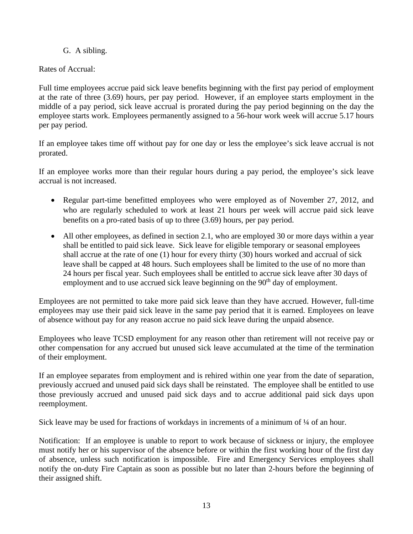## G. A sibling.

## Rates of Accrual:

Full time employees accrue paid sick leave benefits beginning with the first pay period of employment at the rate of three (3.69) hours, per pay period. However, if an employee starts employment in the middle of a pay period, sick leave accrual is prorated during the pay period beginning on the day the employee starts work. Employees permanently assigned to a 56-hour work week will accrue 5.17 hours per pay period.

If an employee takes time off without pay for one day or less the employee's sick leave accrual is not prorated.

If an employee works more than their regular hours during a pay period, the employee's sick leave accrual is not increased.

- Regular part-time benefitted employees who were employed as of November 27, 2012, and who are regularly scheduled to work at least 21 hours per week will accrue paid sick leave benefits on a pro-rated basis of up to three (3.69) hours, per pay period.
- All other employees, as defined in section 2.1, who are employed 30 or more days within a year shall be entitled to paid sick leave. Sick leave for eligible temporary or seasonal employees shall accrue at the rate of one (1) hour for every thirty (30) hours worked and accrual of sick leave shall be capped at 48 hours. Such employees shall be limited to the use of no more than 24 hours per fiscal year. Such employees shall be entitled to accrue sick leave after 30 days of employment and to use accrued sick leave beginning on the 90<sup>th</sup> day of employment.

Employees are not permitted to take more paid sick leave than they have accrued. However, full-time employees may use their paid sick leave in the same pay period that it is earned. Employees on leave of absence without pay for any reason accrue no paid sick leave during the unpaid absence.

Employees who leave TCSD employment for any reason other than retirement will not receive pay or other compensation for any accrued but unused sick leave accumulated at the time of the termination of their employment.

If an employee separates from employment and is rehired within one year from the date of separation, previously accrued and unused paid sick days shall be reinstated. The employee shall be entitled to use those previously accrued and unused paid sick days and to accrue additional paid sick days upon reemployment.

Sick leave may be used for fractions of workdays in increments of a minimum of  $\frac{1}{4}$  of an hour.

Notification: If an employee is unable to report to work because of sickness or injury, the employee must notify her or his supervisor of the absence before or within the first working hour of the first day of absence, unless such notification is impossible. Fire and Emergency Services employees shall notify the on-duty Fire Captain as soon as possible but no later than 2-hours before the beginning of their assigned shift.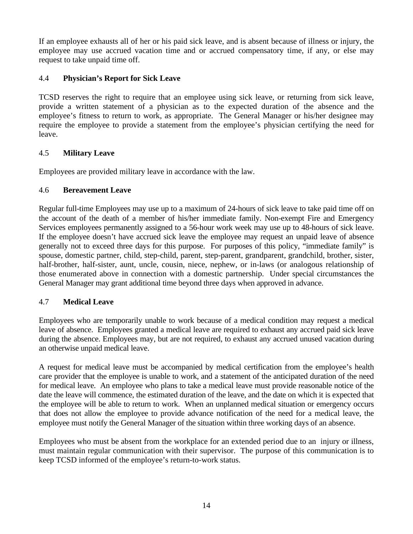If an employee exhausts all of her or his paid sick leave, and is absent because of illness or injury, the employee may use accrued vacation time and or accrued compensatory time, if any, or else may request to take unpaid time off.

# 4.4 **Physician's Report for Sick Leave**

TCSD reserves the right to require that an employee using sick leave, or returning from sick leave, provide a written statement of a physician as to the expected duration of the absence and the employee's fitness to return to work, as appropriate. The General Manager or his/her designee may require the employee to provide a statement from the employee's physician certifying the need for leave.

## 4.5 **Military Leave**

Employees are provided military leave in accordance with the law.

## 4.6 **Bereavement Leave**

Regular full-time Employees may use up to a maximum of 24-hours of sick leave to take paid time off on the account of the death of a member of his/her immediate family. Non-exempt Fire and Emergency Services employees permanently assigned to a 56-hour work week may use up to 48-hours of sick leave. If the employee doesn't have accrued sick leave the employee may request an unpaid leave of absence generally not to exceed three days for this purpose. For purposes of this policy, "immediate family" is spouse, domestic partner, child, step-child, parent, step-parent, grandparent, grandchild, brother, sister, half-brother, half-sister, aunt, uncle, cousin, niece, nephew, or in-laws (or analogous relationship of those enumerated above in connection with a domestic partnership. Under special circumstances the General Manager may grant additional time beyond three days when approved in advance.

## 4.7 **Medical Leave**

Employees who are temporarily unable to work because of a medical condition may request a medical leave of absence. Employees granted a medical leave are required to exhaust any accrued paid sick leave during the absence. Employees may, but are not required, to exhaust any accrued unused vacation during an otherwise unpaid medical leave.

A request for medical leave must be accompanied by medical certification from the employee's health care provider that the employee is unable to work, and a statement of the anticipated duration of the need for medical leave. An employee who plans to take a medical leave must provide reasonable notice of the date the leave will commence, the estimated duration of the leave, and the date on which it is expected that the employee will be able to return to work. When an unplanned medical situation or emergency occurs that does not allow the employee to provide advance notification of the need for a medical leave, the employee must notify the General Manager of the situation within three working days of an absence.

Employees who must be absent from the workplace for an extended period due to an injury or illness, must maintain regular communication with their supervisor. The purpose of this communication is to keep TCSD informed of the employee's return-to-work status.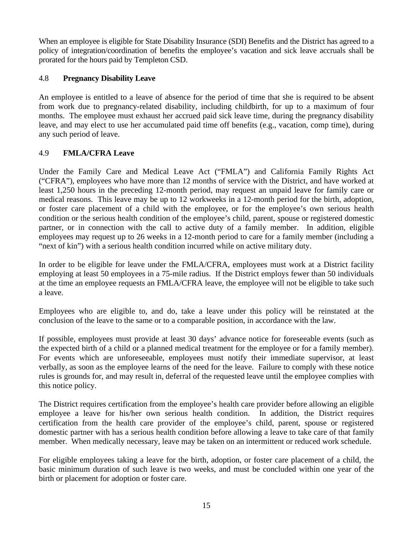When an employee is eligible for State Disability Insurance (SDI) Benefits and the District has agreed to a policy of integration/coordination of benefits the employee's vacation and sick leave accruals shall be prorated for the hours paid by Templeton CSD.

## 4.8 **Pregnancy Disability Leave**

An employee is entitled to a leave of absence for the period of time that she is required to be absent from work due to pregnancy-related disability, including childbirth, for up to a maximum of four months. The employee must exhaust her accrued paid sick leave time, during the pregnancy disability leave, and may elect to use her accumulated paid time off benefits (e.g., vacation, comp time), during any such period of leave.

## 4.9 **FMLA/CFRA Leave**

Under the Family Care and Medical Leave Act ("FMLA") and California Family Rights Act ("CFRA"), employees who have more than 12 months of service with the District, and have worked at least 1,250 hours in the preceding 12-month period, may request an unpaid leave for family care or medical reasons. This leave may be up to 12 workweeks in a 12-month period for the birth, adoption, or foster care placement of a child with the employee, or for the employee's own serious health condition or the serious health condition of the employee's child, parent, spouse or registered domestic partner, or in connection with the call to active duty of a family member. In addition, eligible employees may request up to 26 weeks in a 12-month period to care for a family member (including a "next of kin") with a serious health condition incurred while on active military duty.

In order to be eligible for leave under the FMLA/CFRA, employees must work at a District facility employing at least 50 employees in a 75-mile radius. If the District employs fewer than 50 individuals at the time an employee requests an FMLA/CFRA leave, the employee will not be eligible to take such a leave.

Employees who are eligible to, and do, take a leave under this policy will be reinstated at the conclusion of the leave to the same or to a comparable position, in accordance with the law.

If possible, employees must provide at least 30 days' advance notice for foreseeable events (such as the expected birth of a child or a planned medical treatment for the employee or for a family member). For events which are unforeseeable, employees must notify their immediate supervisor, at least verbally, as soon as the employee learns of the need for the leave. Failure to comply with these notice rules is grounds for, and may result in, deferral of the requested leave until the employee complies with this notice policy.

The District requires certification from the employee's health care provider before allowing an eligible employee a leave for his/her own serious health condition. In addition, the District requires certification from the health care provider of the employee's child, parent, spouse or registered domestic partner with has a serious health condition before allowing a leave to take care of that family member. When medically necessary, leave may be taken on an intermittent or reduced work schedule.

For eligible employees taking a leave for the birth, adoption, or foster care placement of a child, the basic minimum duration of such leave is two weeks, and must be concluded within one year of the birth or placement for adoption or foster care.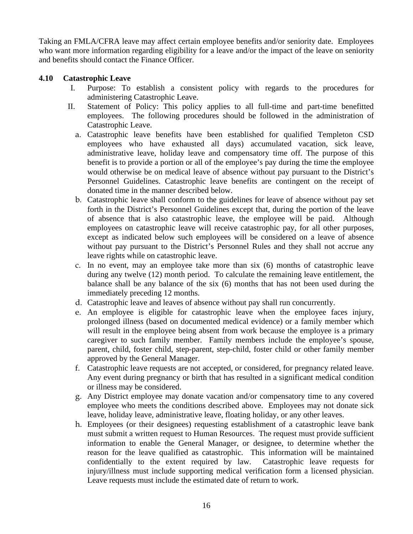Taking an FMLA/CFRA leave may affect certain employee benefits and/or seniority date. Employees who want more information regarding eligibility for a leave and/or the impact of the leave on seniority and benefits should contact the Finance Officer.

#### **4.10 Catastrophic Leave**

- I. Purpose: To establish a consistent policy with regards to the procedures for administering Catastrophic Leave.
- II. Statement of Policy: This policy applies to all full-time and part-time benefitted employees. The following procedures should be followed in the administration of Catastrophic Leave.
	- a. Catastrophic leave benefits have been established for qualified Templeton CSD employees who have exhausted all days) accumulated vacation, sick leave, administrative leave, holiday leave and compensatory time off. The purpose of this benefit is to provide a portion or all of the employee's pay during the time the employee would otherwise be on medical leave of absence without pay pursuant to the District's Personnel Guidelines. Catastrophic leave benefits are contingent on the receipt of donated time in the manner described below.
	- b. Catastrophic leave shall conform to the guidelines for leave of absence without pay set forth in the District's Personnel Guidelines except that, during the portion of the leave of absence that is also catastrophic leave, the employee will be paid. Although employees on catastrophic leave will receive catastrophic pay, for all other purposes, except as indicated below such employees will be considered on a leave of absence without pay pursuant to the District's Personnel Rules and they shall not accrue any leave rights while on catastrophic leave.
	- c. In no event, may an employee take more than six (6) months of catastrophic leave during any twelve (12) month period. To calculate the remaining leave entitlement, the balance shall be any balance of the six (6) months that has not been used during the immediately preceding 12 months.
	- d. Catastrophic leave and leaves of absence without pay shall run concurrently.
	- e. An employee is eligible for catastrophic leave when the employee faces injury, prolonged illness (based on documented medical evidence) or a family member which will result in the employee being absent from work because the employee is a primary caregiver to such family member. Family members include the employee's spouse, parent, child, foster child, step-parent, step-child, foster child or other family member approved by the General Manager.
	- f. Catastrophic leave requests are not accepted, or considered, for pregnancy related leave. Any event during pregnancy or birth that has resulted in a significant medical condition or illness may be considered.
	- g. Any District employee may donate vacation and/or compensatory time to any covered employee who meets the conditions described above. Employees may not donate sick leave, holiday leave, administrative leave, floating holiday, or any other leaves.
	- h. Employees (or their designees) requesting establishment of a catastrophic leave bank must submit a written request to Human Resources. The request must provide sufficient information to enable the General Manager, or designee, to determine whether the reason for the leave qualified as catastrophic. This information will be maintained confidentially to the extent required by law. Catastrophic leave requests for injury/illness must include supporting medical verification form a licensed physician. Leave requests must include the estimated date of return to work.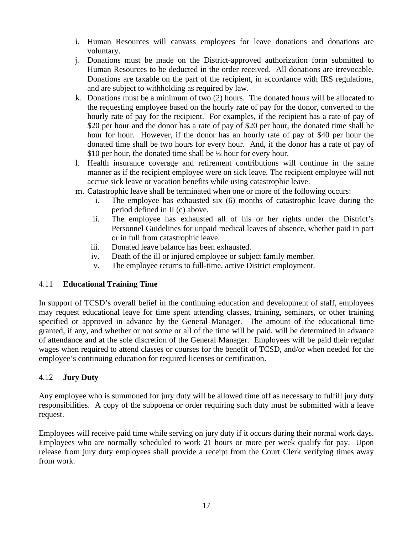- i. Human Resources will canvass employees for leave donations and donations are voluntary.
- j. Donations must be made on the District-approved authorization form submitted to Human Resources to be deducted in the order received. All donations are irrevocable. Donations are taxable on the part of the recipient, in accordance with IRS regulations, and are subject to withholding as required by law.
- k. Donations must be a minimum of two (2) hours. The donated hours will be allocated to the requesting employee based on the hourly rate of pay for the donor, converted to the hourly rate of pay for the recipient. For examples, if the recipient has a rate of pay of \$20 per hour and the donor has a rate of pay of \$20 per hour, the donated time shall be hour for hour. However, if the donor has an hourly rate of pay of \$40 per hour the donated time shall be two hours for every hour. And, if the donor has a rate of pay of \$10 per hour, the donated time shall be  $\frac{1}{2}$  hour for every hour.
- l. Health insurance coverage and retirement contributions will continue in the same manner as if the recipient employee were on sick leave. The recipient employee will not accrue sick leave or vacation benefits while using catastrophic leave.
- m. Catastrophic leave shall be terminated when one or more of the following occurs:
	- i. The employee has exhausted six (6) months of catastrophic leave during the period defined in II (c) above.
	- ii. The employee has exhausted all of his or her rights under the District's Personnel Guidelines for unpaid medical leaves of absence, whether paid in part or in full from catastrophic leave.
	- iii. Donated leave balance has been exhausted.
	- iv. Death of the ill or injured employee or subject family member.
	- v. The employee returns to full-time, active District employment.

## 4.11 **Educational Training Time**

In support of TCSD's overall belief in the continuing education and development of staff, employees may request educational leave for time spent attending classes, training, seminars, or other training specified or approved in advance by the General Manager. The amount of the educational time granted, if any, and whether or not some or all of the time will be paid, will be determined in advance of attendance and at the sole discretion of the General Manager. Employees will be paid their regular wages when required to attend classes or courses for the benefit of TCSD, and/or when needed for the employee's continuing education for required licenses or certification.

#### 4.12 **Jury Duty**

Any employee who is summoned for jury duty will be allowed time off as necessary to fulfill jury duty responsibilities. A copy of the subpoena or order requiring such duty must be submitted with a leave request.

Employees will receive paid time while serving on jury duty if it occurs during their normal work days. Employees who are normally scheduled to work 21 hours or more per week qualify for pay. Upon release from jury duty employees shall provide a receipt from the Court Clerk verifying times away from work.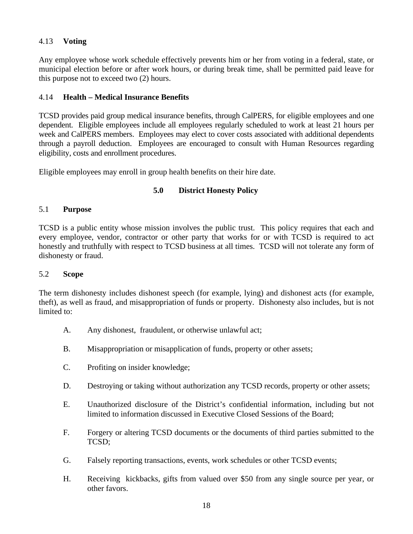## 4.13 **Voting**

Any employee whose work schedule effectively prevents him or her from voting in a federal, state, or municipal election before or after work hours, or during break time, shall be permitted paid leave for this purpose not to exceed two (2) hours.

## 4.14 **Health – Medical Insurance Benefits**

TCSD provides paid group medical insurance benefits, through CalPERS, for eligible employees and one dependent. Eligible employees include all employees regularly scheduled to work at least 21 hours per week and CalPERS members. Employees may elect to cover costs associated with additional dependents through a payroll deduction. Employees are encouraged to consult with Human Resources regarding eligibility, costs and enrollment procedures.

Eligible employees may enroll in group health benefits on their hire date.

# **5.0 District Honesty Policy**

## 5.1 **Purpose**

TCSD is a public entity whose mission involves the public trust. This policy requires that each and every employee, vendor, contractor or other party that works for or with TCSD is required to act honestly and truthfully with respect to TCSD business at all times. TCSD will not tolerate any form of dishonesty or fraud.

## 5.2 **Scope**

The term dishonesty includes dishonest speech (for example, lying) and dishonest acts (for example, theft), as well as fraud, and misappropriation of funds or property. Dishonesty also includes, but is not limited to:

- A. Any dishonest, fraudulent, or otherwise unlawful act;
- B. Misappropriation or misapplication of funds, property or other assets;
- C. Profiting on insider knowledge;
- D. Destroying or taking without authorization any TCSD records, property or other assets;
- E. Unauthorized disclosure of the District's confidential information, including but not limited to information discussed in Executive Closed Sessions of the Board;
- F. Forgery or altering TCSD documents or the documents of third parties submitted to the TCSD;
- G. Falsely reporting transactions, events, work schedules or other TCSD events;
- H. Receiving kickbacks, gifts from valued over \$50 from any single source per year, or other favors.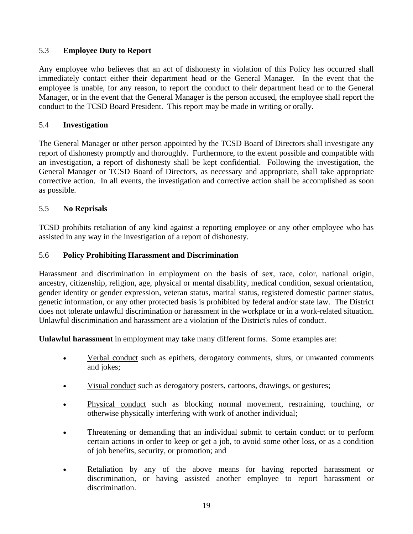## 5.3 **Employee Duty to Report**

Any employee who believes that an act of dishonesty in violation of this Policy has occurred shall immediately contact either their department head or the General Manager. In the event that the employee is unable, for any reason, to report the conduct to their department head or to the General Manager, or in the event that the General Manager is the person accused, the employee shall report the conduct to the TCSD Board President. This report may be made in writing or orally.

#### 5.4 **Investigation**

The General Manager or other person appointed by the TCSD Board of Directors shall investigate any report of dishonesty promptly and thoroughly. Furthermore, to the extent possible and compatible with an investigation, a report of dishonesty shall be kept confidential. Following the investigation, the General Manager or TCSD Board of Directors, as necessary and appropriate, shall take appropriate corrective action. In all events, the investigation and corrective action shall be accomplished as soon as possible.

#### 5.5 **No Reprisals**

TCSD prohibits retaliation of any kind against a reporting employee or any other employee who has assisted in any way in the investigation of a report of dishonesty.

#### 5.6 **Policy Prohibiting Harassment and Discrimination**

Harassment and discrimination in employment on the basis of sex, race, color, national origin, ancestry, citizenship, religion, age, physical or mental disability, medical condition, sexual orientation, gender identity or gender expression, veteran status, marital status, registered domestic partner status, genetic information, or any other protected basis is prohibited by federal and/or state law. The District does not tolerate unlawful discrimination or harassment in the workplace or in a work-related situation. Unlawful discrimination and harassment are a violation of the District's rules of conduct.

**Unlawful harassment** in employment may take many different forms. Some examples are:

- Verbal conduct such as epithets, derogatory comments, slurs, or unwanted comments and jokes;
- Visual conduct such as derogatory posters, cartoons, drawings, or gestures;
- Physical conduct such as blocking normal movement, restraining, touching, or otherwise physically interfering with work of another individual;
- Threatening or demanding that an individual submit to certain conduct or to perform certain actions in order to keep or get a job, to avoid some other loss, or as a condition of job benefits, security, or promotion; and
- Retaliation by any of the above means for having reported harassment or discrimination, or having assisted another employee to report harassment or discrimination.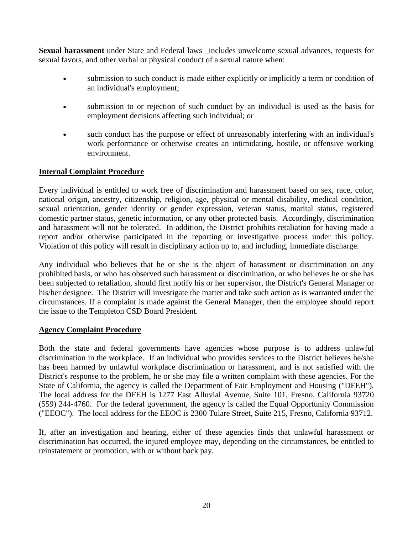**Sexual harassment** under State and Federal laws \_includes unwelcome sexual advances, requests for sexual favors, and other verbal or physical conduct of a sexual nature when:

- submission to such conduct is made either explicitly or implicitly a term or condition of an individual's employment;
- submission to or rejection of such conduct by an individual is used as the basis for employment decisions affecting such individual; or
- such conduct has the purpose or effect of unreasonably interfering with an individual's work performance or otherwise creates an intimidating, hostile, or offensive working environment.

#### **Internal Complaint Procedure**

Every individual is entitled to work free of discrimination and harassment based on sex, race, color, national origin, ancestry, citizenship, religion, age, physical or mental disability, medical condition, sexual orientation, gender identity or gender expression, veteran status, marital status, registered domestic partner status, genetic information, or any other protected basis. Accordingly, discrimination and harassment will not be tolerated. In addition, the District prohibits retaliation for having made a report and/or otherwise participated in the reporting or investigative process under this policy. Violation of this policy will result in disciplinary action up to, and including, immediate discharge.

Any individual who believes that he or she is the object of harassment or discrimination on any prohibited basis, or who has observed such harassment or discrimination, or who believes he or she has been subjected to retaliation, should first notify his or her supervisor, the District's General Manager or his/her designee. The District will investigate the matter and take such action as is warranted under the circumstances. If a complaint is made against the General Manager, then the employee should report the issue to the Templeton CSD Board President.

#### **Agency Complaint Procedure**

Both the state and federal governments have agencies whose purpose is to address unlawful discrimination in the workplace. If an individual who provides services to the District believes he/she has been harmed by unlawful workplace discrimination or harassment, and is not satisfied with the District's response to the problem, he or she may file a written complaint with these agencies. For the State of California, the agency is called the Department of Fair Employment and Housing ("DFEH"). The local address for the DFEH is 1277 East Alluvial Avenue, Suite 101, Fresno, California 93720 (559) 244-4760. For the federal government, the agency is called the Equal Opportunity Commission ("EEOC"). The local address for the EEOC is 2300 Tulare Street, Suite 215, Fresno, California 93712.

If, after an investigation and hearing, either of these agencies finds that unlawful harassment or discrimination has occurred, the injured employee may, depending on the circumstances, be entitled to reinstatement or promotion, with or without back pay.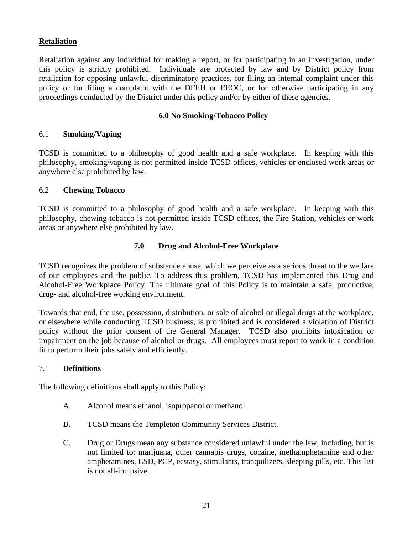#### **Retaliation**

Retaliation against any individual for making a report, or for participating in an investigation, under this policy is strictly prohibited. Individuals are protected by law and by District policy from retaliation for opposing unlawful discriminatory practices, for filing an internal complaint under this policy or for filing a complaint with the DFEH or EEOC, or for otherwise participating in any proceedings conducted by the District under this policy and/or by either of these agencies.

#### **6.0 No Smoking/Tobacco Policy**

#### 6.1 **Smoking/Vaping**

TCSD is committed to a philosophy of good health and a safe workplace. In keeping with this philosophy, smoking/vaping is not permitted inside TCSD offices, vehicles or enclosed work areas or anywhere else prohibited by law.

#### 6.2 **Chewing Tobacco**

TCSD is committed to a philosophy of good health and a safe workplace. In keeping with this philosophy, chewing tobacco is not permitted inside TCSD offices, the Fire Station, vehicles or work areas or anywhere else prohibited by law.

#### **7.0 Drug and Alcohol-Free Workplace**

TCSD recognizes the problem of substance abuse, which we perceive as a serious threat to the welfare of our employees and the public. To address this problem, TCSD has implemented this Drug and Alcohol-Free Workplace Policy. The ultimate goal of this Policy is to maintain a safe, productive, drug- and alcohol-free working environment.

Towards that end, the use, possession, distribution, or sale of alcohol or illegal drugs at the workplace, or elsewhere while conducting TCSD business, is prohibited and is considered a violation of District policy without the prior consent of the General Manager. TCSD also prohibits intoxication or impairment on the job because of alcohol or drugs. All employees must report to work in a condition fit to perform their jobs safely and efficiently.

#### 7.1 **Definitions**

The following definitions shall apply to this Policy:

- A. Alcohol means ethanol, isopropanol or methanol.
- B. TCSD means the Templeton Community Services District.
- C. Drug or Drugs mean any substance considered unlawful under the law, including, but is not limited to: marijuana, other cannabis drugs, cocaine, methamphetamine and other amphetamines, LSD, PCP, ecstasy, stimulants, tranquilizers, sleeping pills, etc. This list is not all-inclusive.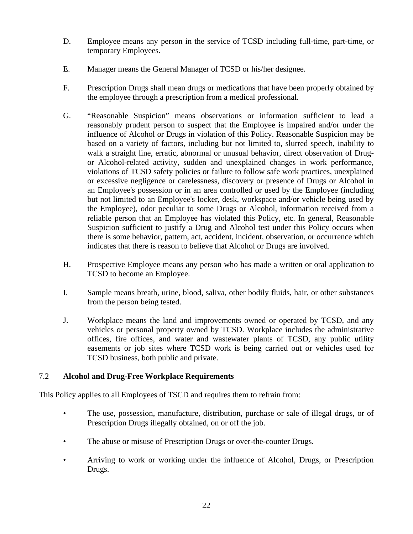- D. Employee means any person in the service of TCSD including full-time, part-time, or temporary Employees.
- E. Manager means the General Manager of TCSD or his/her designee.
- F. Prescription Drugs shall mean drugs or medications that have been properly obtained by the employee through a prescription from a medical professional.
- G. "Reasonable Suspicion" means observations or information sufficient to lead a reasonably prudent person to suspect that the Employee is impaired and/or under the influence of Alcohol or Drugs in violation of this Policy. Reasonable Suspicion may be based on a variety of factors, including but not limited to, slurred speech, inability to walk a straight line, erratic, abnormal or unusual behavior, direct observation of Drugor Alcohol-related activity, sudden and unexplained changes in work performance, violations of TCSD safety policies or failure to follow safe work practices, unexplained or excessive negligence or carelessness, discovery or presence of Drugs or Alcohol in an Employee's possession or in an area controlled or used by the Employee (including but not limited to an Employee's locker, desk, workspace and/or vehicle being used by the Employee), odor peculiar to some Drugs or Alcohol, information received from a reliable person that an Employee has violated this Policy, etc. In general, Reasonable Suspicion sufficient to justify a Drug and Alcohol test under this Policy occurs when there is some behavior, pattern, act, accident, incident, observation, or occurrence which indicates that there is reason to believe that Alcohol or Drugs are involved.
- H. Prospective Employee means any person who has made a written or oral application to TCSD to become an Employee.
- I. Sample means breath, urine, blood, saliva, other bodily fluids, hair, or other substances from the person being tested.
- J. Workplace means the land and improvements owned or operated by TCSD, and any vehicles or personal property owned by TCSD. Workplace includes the administrative offices, fire offices, and water and wastewater plants of TCSD, any public utility easements or job sites where TCSD work is being carried out or vehicles used for TCSD business, both public and private.

# 7.2 **Alcohol and Drug-Free Workplace Requirements**

This Policy applies to all Employees of TSCD and requires them to refrain from:

- The use, possession, manufacture, distribution, purchase or sale of illegal drugs, or of Prescription Drugs illegally obtained, on or off the job.
- The abuse or misuse of Prescription Drugs or over-the-counter Drugs.
- Arriving to work or working under the influence of Alcohol, Drugs, or Prescription Drugs.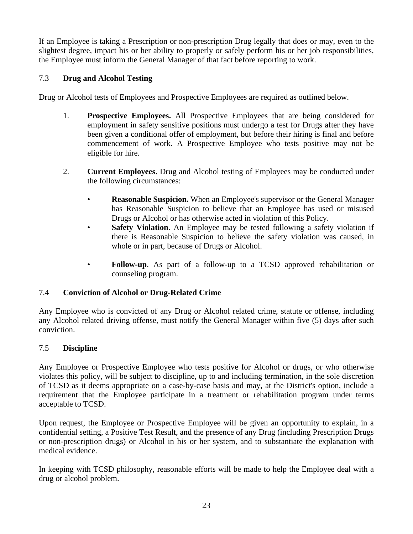If an Employee is taking a Prescription or non-prescription Drug legally that does or may, even to the slightest degree, impact his or her ability to properly or safely perform his or her job responsibilities, the Employee must inform the General Manager of that fact before reporting to work.

# 7.3 **Drug and Alcohol Testing**

Drug or Alcohol tests of Employees and Prospective Employees are required as outlined below.

- 1. **Prospective Employees.** All Prospective Employees that are being considered for employment in safety sensitive positions must undergo a test for Drugs after they have been given a conditional offer of employment, but before their hiring is final and before commencement of work. A Prospective Employee who tests positive may not be eligible for hire.
- 2. **Current Employees.** Drug and Alcohol testing of Employees may be conducted under the following circumstances:
	- **Reasonable Suspicion.** When an Employee's supervisor or the General Manager has Reasonable Suspicion to believe that an Employee has used or misused Drugs or Alcohol or has otherwise acted in violation of this Policy.
	- **Safety Violation**. An Employee may be tested following a safety violation if there is Reasonable Suspicion to believe the safety violation was caused, in whole or in part, because of Drugs or Alcohol.
	- **Follow-up**. As part of a follow-up to a TCSD approved rehabilitation or counseling program.

## 7.4 **Conviction of Alcohol or Drug-Related Crime**

Any Employee who is convicted of any Drug or Alcohol related crime, statute or offense, including any Alcohol related driving offense, must notify the General Manager within five (5) days after such conviction.

## 7.5 **Discipline**

Any Employee or Prospective Employee who tests positive for Alcohol or drugs, or who otherwise violates this policy, will be subject to discipline, up to and including termination, in the sole discretion of TCSD as it deems appropriate on a case-by-case basis and may, at the District's option, include a requirement that the Employee participate in a treatment or rehabilitation program under terms acceptable to TCSD.

Upon request, the Employee or Prospective Employee will be given an opportunity to explain, in a confidential setting, a Positive Test Result, and the presence of any Drug (including Prescription Drugs or non-prescription drugs) or Alcohol in his or her system, and to substantiate the explanation with medical evidence.

In keeping with TCSD philosophy, reasonable efforts will be made to help the Employee deal with a drug or alcohol problem.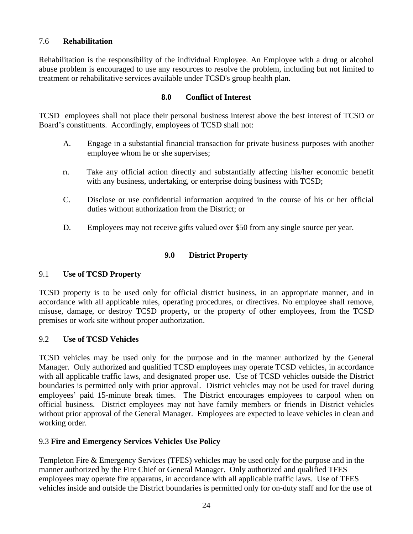## 7.6 **Rehabilitation**

Rehabilitation is the responsibility of the individual Employee. An Employee with a drug or alcohol abuse problem is encouraged to use any resources to resolve the problem, including but not limited to treatment or rehabilitative services available under TCSD's group health plan.

#### **8.0 Conflict of Interest**

TCSD employees shall not place their personal business interest above the best interest of TCSD or Board's constituents. Accordingly, employees of TCSD shall not:

- A. Engage in a substantial financial transaction for private business purposes with another employee whom he or she supervises;
- n. Take any official action directly and substantially affecting his/her economic benefit with any business, undertaking, or enterprise doing business with TCSD;
- C. Disclose or use confidential information acquired in the course of his or her official duties without authorization from the District; or
- D. Employees may not receive gifts valued over \$50 from any single source per year.

## **9.0 District Property**

## 9.1 **Use of TCSD Property**

TCSD property is to be used only for official district business, in an appropriate manner, and in accordance with all applicable rules, operating procedures, or directives. No employee shall remove, misuse, damage, or destroy TCSD property, or the property of other employees, from the TCSD premises or work site without proper authorization.

## 9.2 **Use of TCSD Vehicles**

TCSD vehicles may be used only for the purpose and in the manner authorized by the General Manager. Only authorized and qualified TCSD employees may operate TCSD vehicles, in accordance with all applicable traffic laws, and designated proper use. Use of TCSD vehicles outside the District boundaries is permitted only with prior approval. District vehicles may not be used for travel during employees' paid 15-minute break times. The District encourages employees to carpool when on official business. District employees may not have family members or friends in District vehicles without prior approval of the General Manager.Employees are expected to leave vehicles in clean and working order.

## 9.3 **Fire and Emergency Services Vehicles Use Policy**

Templeton Fire & Emergency Services (TFES) vehicles may be used only for the purpose and in the manner authorized by the Fire Chief or General Manager. Only authorized and qualified TFES employees may operate fire apparatus, in accordance with all applicable traffic laws. Use of TFES vehicles inside and outside the District boundaries is permitted only for on-duty staff and for the use of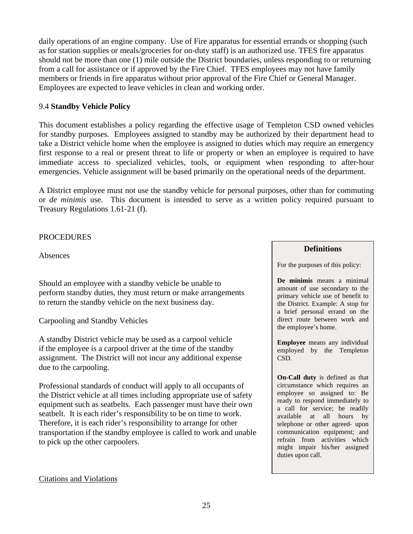daily operations of an engine company. Use of Fire apparatus for essential errands or shopping (such as for station supplies or meals/groceries for on-duty staff) is an authorized use. TFES fire apparatus should not be more than one (1) mile outside the District boundaries, unless responding to or returning from a call for assistance or if approved by the Fire Chief. TFES employees may not have family members or friends in fire apparatus without prior approval of the Fire Chief or General Manager. Employees are expected to leave vehicles in clean and working order.

#### 9.4 **Standby Vehicle Policy**

This document establishes a policy regarding the effective usage of Templeton CSD owned vehicles for standby purposes. Employees assigned to standby may be authorized by their department head to take a District vehicle home when the employee is assigned to duties which may require an emergency first response to a real or present threat to life or property or when an employee is required to have immediate access to specialized vehicles, tools, or equipment when responding to after‐hour emergencies. Vehicle assignment will be based primarily on the operational needs of the department.

A District employee must not use the standby vehicle for personal purposes, other than for commuting or *de minimis* use. This document is intended to serve as a written policy required pursuant to Treasury Regulations 1.61‐21 (f).

#### **PROCEDURES**

Absences

Should an employee with a standby vehicle be unable to perform standby duties, they must return or make arrangements to return the standby vehicle on the next business day.

Carpooling and Standby Vehicles

A standby District vehicle may be used as a carpool vehicle if the employee is a carpool driver at the time of the standby assignment. The District will not incur any additional expense due to the carpooling.

Professional standards of conduct will apply to all occupants of the District vehicle at all times including appropriate use of safety equipment such as seatbelts. Each passenger must have their own seatbelt. It is each rider's responsibility to be on time to work. Therefore, it is each rider's responsibility to arrange for other transportation if the standby employee is called to work and unable to pick up the other carpoolers.

#### **Definitions**

For the purposes of this policy:

**De minimis** means a minimal amount of use secondary to the primary vehicle use of benefit to the District. Example: A stop for a brief personal errand on the direct route between work and the employee's home.

**Employee** means any individual employed by the Templeton CSD.

**On-Call duty** is defined as that circumstance which requires an employee so assigned to: Be ready to respond immediately to a call for service; be readily available at all hours by telephone or other agreed‐ upon communication equipment; and refrain from activities which might impair his/her assigned duties upon call.

#### Citations and Violations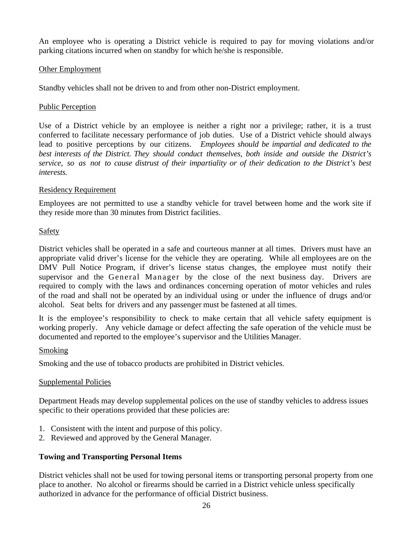An employee who is operating a District vehicle is required to pay for moving violations and/or parking citations incurred when on standby for which he/she is responsible.

#### Other Employment

Standby vehicles shall not be driven to and from other non-District employment.

#### Public Perception

Use of a District vehicle by an employee is neither a right nor a privilege; rather, it is a trust conferred to facilitate necessary performance of job duties. Use of a District vehicle should always lead to positive perceptions by our citizens. *Employees should be impartial and dedicated to the best interests of the District. They should conduct themselves, both inside and outside the District's service, so as not to cause distrust of their impartiality or of their dedication to the District's best interests.*

#### Residency Requirement

Employees are not permitted to use a standby vehicle for travel between home and the work site if they reside more than 30 minutes from District facilities.

#### Safety

District vehicles shall be operated in a safe and courteous manner at all times. Drivers must have an appropriate valid driver's license for the vehicle they are operating. While all employees are on the DMV Pull Notice Program, if driver's license status changes, the employee must notify their supervisor and the General Manager by the close of the next business day. Drivers are required to comply with the laws and ordinances concerning operation of motor vehicles and rules of the road and shall not be operated by an individual using or under the influence of drugs and/or alcohol. Seat belts for drivers and any passenger must be fastened at all times.

It is the employee's responsibility to check to make certain that all vehicle safety equipment is working properly. Any vehicle damage or defect affecting the safe operation of the vehicle must be documented and reported to the employee's supervisor and the Utilities Manager.

## Smoking

Smoking and the use of tobacco products are prohibited in District vehicles.

## Supplemental Policies

Department Heads may develop supplemental polices on the use of standby vehicles to address issues specific to their operations provided that these policies are:

- 1. Consistent with the intent and purpose of this policy.
- 2. Reviewed and approved by the General Manager.

## **Towing and Transporting Personal Items**

District vehicles shall not be used for towing personal items or transporting personal property from one place to another. No alcohol or firearms should be carried in a District vehicle unless specifically authorized in advance for the performance of official District business.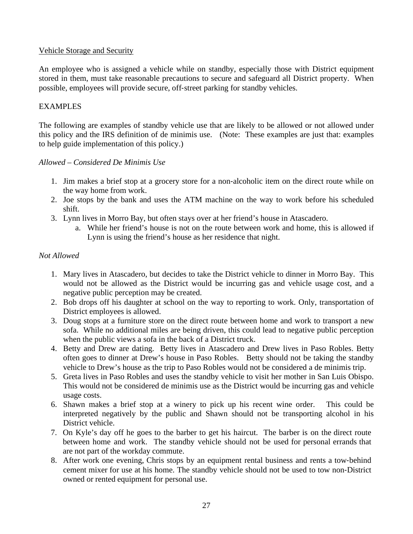#### Vehicle Storage and Security

An employee who is assigned a vehicle while on standby, especially those with District equipment stored in them, must take reasonable precautions to secure and safeguard all District property. When possible, employees will provide secure, off‐street parking for standby vehicles.

## EXAMPLES

The following are examples of standby vehicle use that are likely to be allowed or not allowed under this policy and the IRS definition of de minimis use. (Note: These examples are just that: examples to help guide implementation of this policy.)

#### *Allowed – Considered De Minimis Use*

- 1. Jim makes a brief stop at a grocery store for a non‐alcoholic item on the direct route while on the way home from work.
- 2. Joe stops by the bank and uses the ATM machine on the way to work before his scheduled shift.
- 3. Lynn lives in Morro Bay, but often stays over at her friend's house in Atascadero.
	- a. While her friend's house is not on the route between work and home, this is allowed if Lynn is using the friend's house as her residence that night.

## *Not Allowed*

- 1. Mary lives in Atascadero, but decides to take the District vehicle to dinner in Morro Bay. This would not be allowed as the District would be incurring gas and vehicle usage cost, and a negative public perception may be created.
- 2. Bob drops off his daughter at school on the way to reporting to work. Only, transportation of District employees is allowed.
- 3. Doug stops at a furniture store on the direct route between home and work to transport a new sofa. While no additional miles are being driven, this could lead to negative public perception when the public views a sofa in the back of a District truck.
- 4. Betty and Drew are dating. Betty lives in Atascadero and Drew lives in Paso Robles. Betty often goes to dinner at Drew's house in Paso Robles. Betty should not be taking the standby vehicle to Drew's house as the trip to Paso Robles would not be considered a de minimis trip.
- 5. Greta lives in Paso Robles and uses the standby vehicle to visit her mother in San Luis Obispo. This would not be considered de minimis use as the District would be incurring gas and vehicle usage costs.
- 6. Shawn makes a brief stop at a winery to pick up his recent wine order. This could be interpreted negatively by the public and Shawn should not be transporting alcohol in his District vehicle.
- 7. On Kyle's day off he goes to the barber to get his haircut. The barber is on the direct route between home and work. The standby vehicle should not be used for personal errands that are not part of the workday commute.
- 8. After work one evening, Chris stops by an equipment rental business and rents a tow-behind cement mixer for use at his home. The standby vehicle should not be used to tow non‐District owned or rented equipment for personal use.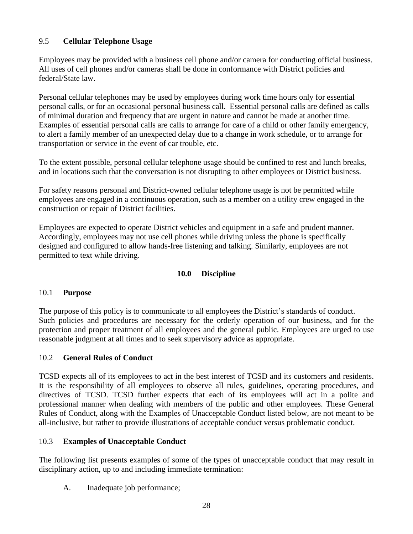# 9.5 **Cellular Telephone Usage**

Employees may be provided with a business cell phone and/or camera for conducting official business. All uses of cell phones and/or cameras shall be done in conformance with District policies and federal/State law.

Personal cellular telephones may be used by employees during work time hours only for essential personal calls, or for an occasional personal business call. Essential personal calls are defined as calls of minimal duration and frequency that are urgent in nature and cannot be made at another time. Examples of essential personal calls are calls to arrange for care of a child or other family emergency, to alert a family member of an unexpected delay due to a change in work schedule, or to arrange for transportation or service in the event of car trouble, etc.

To the extent possible, personal cellular telephone usage should be confined to rest and lunch breaks, and in locations such that the conversation is not disrupting to other employees or District business.

For safety reasons personal and District-owned cellular telephone usage is not be permitted while employees are engaged in a continuous operation, such as a member on a utility crew engaged in the construction or repair of District facilities.

Employees are expected to operate District vehicles and equipment in a safe and prudent manner. Accordingly, employees may not use cell phones while driving unless the phone is specifically designed and configured to allow hands-free listening and talking. Similarly, employees are not permitted to text while driving.

# **10.0 Discipline**

## 10.1 **Purpose**

The purpose of this policy is to communicate to all employees the District's standards of conduct. Such policies and procedures are necessary for the orderly operation of our business, and for the protection and proper treatment of all employees and the general public. Employees are urged to use reasonable judgment at all times and to seek supervisory advice as appropriate.

## 10.2 **General Rules of Conduct**

TCSD expects all of its employees to act in the best interest of TCSD and its customers and residents. It is the responsibility of all employees to observe all rules, guidelines, operating procedures, and directives of TCSD. TCSD further expects that each of its employees will act in a polite and professional manner when dealing with members of the public and other employees. These General Rules of Conduct, along with the Examples of Unacceptable Conduct listed below, are not meant to be all-inclusive, but rather to provide illustrations of acceptable conduct versus problematic conduct.

## 10.3 **Examples of Unacceptable Conduct**

The following list presents examples of some of the types of unacceptable conduct that may result in disciplinary action, up to and including immediate termination:

A. Inadequate job performance;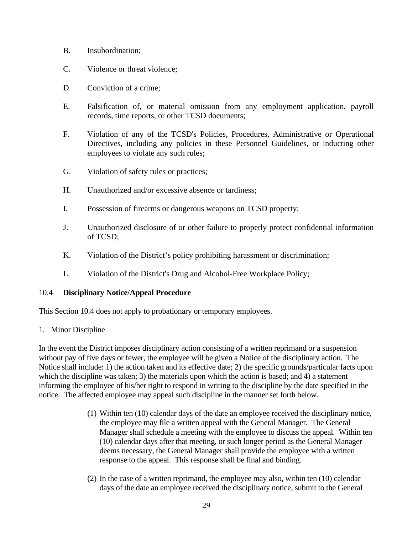- B. Insubordination;
- C. Violence or threat violence;
- D. Conviction of a crime:
- E. Falsification of, or material omission from any employment application, payroll records, time reports, or other TCSD documents;
- F. Violation of any of the TCSD's Policies, Procedures, Administrative or Operational Directives, including any policies in these Personnel Guidelines, or inducting other employees to violate any such rules;
- G. Violation of safety rules or practices;
- H. Unauthorized and/or excessive absence or tardiness;
- I. Possession of firearms or dangerous weapons on TCSD property;
- J. Unauthorized disclosure of or other failure to properly protect confidential information of TCSD;
- K. Violation of the District's policy prohibiting harassment or discrimination;
- L. Violation of the District's Drug and Alcohol-Free Workplace Policy;

#### 10.4 **Disciplinary Notice/Appeal Procedure**

This Section 10.4 does not apply to probationary or temporary employees.

#### 1. Minor Discipline

In the event the District imposes disciplinary action consisting of a written reprimand or a suspension without pay of five days or fewer, the employee will be given a Notice of the disciplinary action. The Notice shall include: 1) the action taken and its effective date; 2) the specific grounds/particular facts upon which the discipline was taken; 3) the materials upon which the action is based; and 4) a statement informing the employee of his/her right to respond in writing to the discipline by the date specified in the notice. The affected employee may appeal such discipline in the manner set forth below.

- (1) Within ten (10) calendar days of the date an employee received the disciplinary notice, the employee may file a written appeal with the General Manager. The General Manager shall schedule a meeting with the employee to discuss the appeal. Within ten (10) calendar days after that meeting, or such longer period as the General Manager deems necessary, the General Manager shall provide the employee with a written response to the appeal. This response shall be final and binding.
- (2) In the case of a written reprimand, the employee may also, within ten (10) calendar days of the date an employee received the disciplinary notice, submit to the General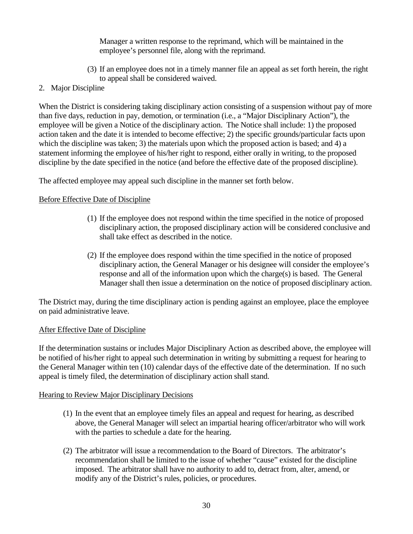Manager a written response to the reprimand, which will be maintained in the employee's personnel file, along with the reprimand.

- (3) If an employee does not in a timely manner file an appeal as set forth herein, the right to appeal shall be considered waived.
- 2. Major Discipline

When the District is considering taking disciplinary action consisting of a suspension without pay of more than five days, reduction in pay, demotion, or termination (i.e., a "Major Disciplinary Action"), the employee will be given a Notice of the disciplinary action. The Notice shall include: 1) the proposed action taken and the date it is intended to become effective; 2) the specific grounds/particular facts upon which the discipline was taken; 3) the materials upon which the proposed action is based; and 4) a statement informing the employee of his/her right to respond, either orally in writing, to the proposed discipline by the date specified in the notice (and before the effective date of the proposed discipline).

The affected employee may appeal such discipline in the manner set forth below.

## Before Effective Date of Discipline

- (1) If the employee does not respond within the time specified in the notice of proposed disciplinary action, the proposed disciplinary action will be considered conclusive and shall take effect as described in the notice.
- (2) If the employee does respond within the time specified in the notice of proposed disciplinary action, the General Manager or his designee will consider the employee's response and all of the information upon which the charge(s) is based. The General Manager shall then issue a determination on the notice of proposed disciplinary action.

The District may, during the time disciplinary action is pending against an employee, place the employee on paid administrative leave.

## After Effective Date of Discipline

If the determination sustains or includes Major Disciplinary Action as described above, the employee will be notified of his/her right to appeal such determination in writing by submitting a request for hearing to the General Manager within ten (10) calendar days of the effective date of the determination. If no such appeal is timely filed, the determination of disciplinary action shall stand.

## Hearing to Review Major Disciplinary Decisions

- (1) In the event that an employee timely files an appeal and request for hearing, as described above, the General Manager will select an impartial hearing officer/arbitrator who will work with the parties to schedule a date for the hearing.
- (2) The arbitrator will issue a recommendation to the Board of Directors. The arbitrator's recommendation shall be limited to the issue of whether "cause" existed for the discipline imposed. The arbitrator shall have no authority to add to, detract from, alter, amend, or modify any of the District's rules, policies, or procedures.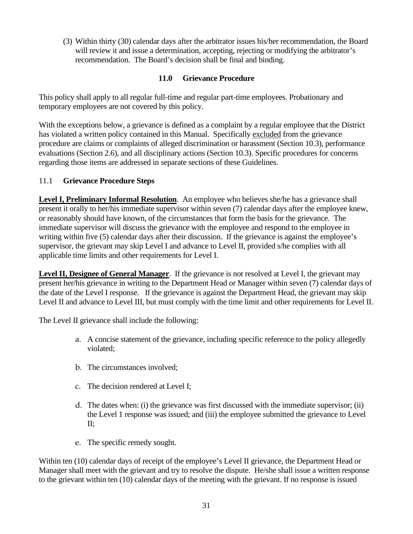(3) Within thirty (30) calendar days after the arbitrator issues his/her recommendation, the Board will review it and issue a determination, accepting, rejecting or modifying the arbitrator's recommendation. The Board's decision shall be final and binding.

## **11.0 Grievance Procedure**

This policy shall apply to all regular full-time and regular part-time employees. Probationary and temporary employees are not covered by this policy.

With the exceptions below, a grievance is defined as a complaint by a regular employee that the District has violated a written policy contained in this Manual. Specifically excluded from the grievance procedure are claims or complaints of alleged discrimination or harassment (Section 10.3), performance evaluations (Section 2.6), and all disciplinary actions (Section 10.3). Specific procedures for concerns regarding those items are addressed in separate sections of these Guidelines.

## 11.1 **Grievance Procedure Steps**

**Level I, Preliminary Informal Resolution**. An employee who believes she/he has a grievance shall present it orally to her/his immediate supervisor within seven (7) calendar days after the employee knew, or reasonably should have known, of the circumstances that form the basis for the grievance. The immediate supervisor will discuss the grievance with the employee and respond to the employee in writing within five (5) calendar days after their discussion. If the grievance is against the employee's supervisor, the grievant may skip Level I and advance to Level II, provided s/he complies with all applicable time limits and other requirements for Level I.

**Level II, Designee of General Manager**. If the grievance is not resolved at Level I, the grievant may present her/his grievance in writing to the Department Head or Manager within seven (7) calendar days of the date of the Level I response. If the grievance is against the Department Head, the grievant may skip Level II and advance to Level III, but must comply with the time limit and other requirements for Level II.

The Level II grievance shall include the following:

- a. A concise statement of the grievance, including specific reference to the policy allegedly violated;
- b. The circumstances involved;
- c. The decision rendered at Level I;
- d. The dates when: (i) the grievance was first discussed with the immediate supervisor; (ii) the Level 1 response was issued; and (iii) the employee submitted the grievance to Level II;
- e. The specific remedy sought.

Within ten (10) calendar days of receipt of the employee's Level II grievance, the Department Head or Manager shall meet with the grievant and try to resolve the dispute. He/she shall issue a written response to the grievant within ten (10) calendar days of the meeting with the grievant. If no response is issued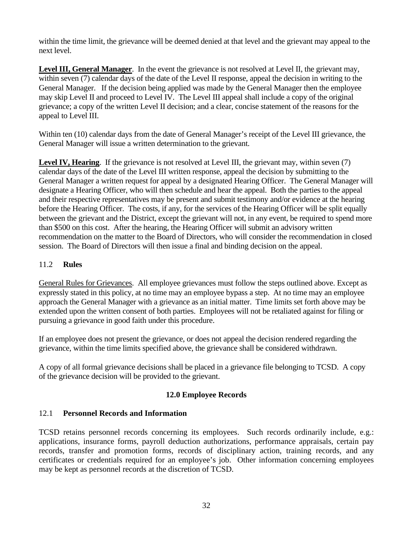within the time limit, the grievance will be deemed denied at that level and the grievant may appeal to the next level.

**Level III, General Manager**. In the event the grievance is not resolved at Level II, the grievant may, within seven (7) calendar days of the date of the Level II response, appeal the decision in writing to the General Manager. If the decision being applied was made by the General Manager then the employee may skip Level II and proceed to Level IV. The Level III appeal shall include a copy of the original grievance; a copy of the written Level II decision; and a clear, concise statement of the reasons for the appeal to Level III.

Within ten (10) calendar days from the date of General Manager's receipt of the Level III grievance, the General Manager will issue a written determination to the grievant.

**Level IV, Hearing**. If the grievance is not resolved at Level III, the grievant may, within seven (7) calendar days of the date of the Level III written response, appeal the decision by submitting to the General Manager a written request for appeal by a designated Hearing Officer. The General Manager will designate a Hearing Officer, who will then schedule and hear the appeal. Both the parties to the appeal and their respective representatives may be present and submit testimony and/or evidence at the hearing before the Hearing Officer. The costs, if any, for the services of the Hearing Officer will be split equally between the grievant and the District, except the grievant will not, in any event, be required to spend more than \$500 on this cost. After the hearing, the Hearing Officer will submit an advisory written recommendation on the matter to the Board of Directors, who will consider the recommendation in closed session. The Board of Directors will then issue a final and binding decision on the appeal.

## 11.2 **Rules**

General Rules for Grievances.All employee grievances must follow the steps outlined above. Except as expressly stated in this policy, at no time may an employee bypass a step. At no time may an employee approach the General Manager with a grievance as an initial matter. Time limits set forth above may be extended upon the written consent of both parties. Employees will not be retaliated against for filing or pursuing a grievance in good faith under this procedure.

If an employee does not present the grievance, or does not appeal the decision rendered regarding the grievance, within the time limits specified above, the grievance shall be considered withdrawn.

A copy of all formal grievance decisions shall be placed in a grievance file belonging to TCSD. A copy of the grievance decision will be provided to the grievant.

## **12.0 Employee Records**

# 12.1 **Personnel Records and Information**

TCSD retains personnel records concerning its employees. Such records ordinarily include, e.g.: applications, insurance forms, payroll deduction authorizations, performance appraisals, certain pay records, transfer and promotion forms, records of disciplinary action, training records, and any certificates or credentials required for an employee's job. Other information concerning employees may be kept as personnel records at the discretion of TCSD.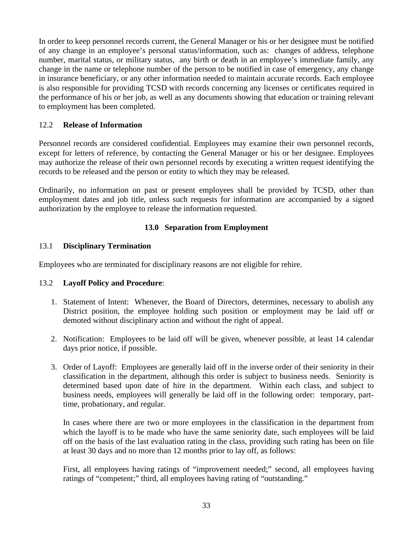In order to keep personnel records current, the General Manager or his or her designee must be notified of any change in an employee's personal status/information, such as: changes of address, telephone number, marital status, or military status, any birth or death in an employee's immediate family, any change in the name or telephone number of the person to be notified in case of emergency, any change in insurance beneficiary, or any other information needed to maintain accurate records. Each employee is also responsible for providing TCSD with records concerning any licenses or certificates required in the performance of his or her job, as well as any documents showing that education or training relevant to employment has been completed.

## 12.2 **Release of Information**

Personnel records are considered confidential. Employees may examine their own personnel records, except for letters of reference, by contacting the General Manager or his or her designee. Employees may authorize the release of their own personnel records by executing a written request identifying the records to be released and the person or entity to which they may be released.

Ordinarily, no information on past or present employees shall be provided by TCSD, other than employment dates and job title, unless such requests for information are accompanied by a signed authorization by the employee to release the information requested.

## **13.0 Separation from Employment**

## 13.1 **Disciplinary Termination**

Employees who are terminated for disciplinary reasons are not eligible for rehire.

## 13.2 **Layoff Policy and Procedure**:

- 1. Statement of Intent: Whenever, the Board of Directors, determines, necessary to abolish any District position, the employee holding such position or employment may be laid off or demoted without disciplinary action and without the right of appeal.
- 2. Notification: Employees to be laid off will be given, whenever possible, at least 14 calendar days prior notice, if possible.
- 3. Order of Layoff: Employees are generally laid off in the inverse order of their seniority in their classification in the department, although this order is subject to business needs. Seniority is determined based upon date of hire in the department. Within each class, and subject to business needs, employees will generally be laid off in the following order: temporary, parttime, probationary, and regular.

In cases where there are two or more employees in the classification in the department from which the layoff is to be made who have the same seniority date, such employees will be laid off on the basis of the last evaluation rating in the class, providing such rating has been on file at least 30 days and no more than 12 months prior to lay off, as follows:

First, all employees having ratings of "improvement needed;" second, all employees having ratings of "competent;" third, all employees having rating of "outstanding."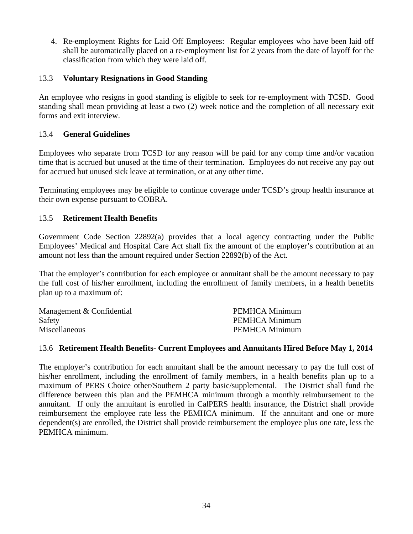4. Re-employment Rights for Laid Off Employees: Regular employees who have been laid off shall be automatically placed on a re-employment list for 2 years from the date of layoff for the classification from which they were laid off.

## 13.3 **Voluntary Resignations in Good Standing**

An employee who resigns in good standing is eligible to seek for re-employment with TCSD. Good standing shall mean providing at least a two (2) week notice and the completion of all necessary exit forms and exit interview.

## 13.4 **General Guidelines**

Employees who separate from TCSD for any reason will be paid for any comp time and/or vacation time that is accrued but unused at the time of their termination. Employees do not receive any pay out for accrued but unused sick leave at termination, or at any other time.

Terminating employees may be eligible to continue coverage under TCSD's group health insurance at their own expense pursuant to COBRA.

## 13.5 **Retirement Health Benefits**

Government Code Section 22892(a) provides that a local agency contracting under the Public Employees' Medical and Hospital Care Act shall fix the amount of the employer's contribution at an amount not less than the amount required under Section 22892(b) of the Act.

That the employer's contribution for each employee or annuitant shall be the amount necessary to pay the full cost of his/her enrollment, including the enrollment of family members, in a health benefits plan up to a maximum of:

| Management & Confidential | PEMHCA Minimum |
|---------------------------|----------------|
| Safety                    | PEMHCA Minimum |
| <b>Miscellaneous</b>      | PEMHCA Minimum |

## 13.6 **Retirement Health Benefits- Current Employees and Annuitants Hired Before May 1, 2014**

The employer's contribution for each annuitant shall be the amount necessary to pay the full cost of his/her enrollment, including the enrollment of family members, in a health benefits plan up to a maximum of PERS Choice other/Southern 2 party basic/supplemental. The District shall fund the difference between this plan and the PEMHCA minimum through a monthly reimbursement to the annuitant. If only the annuitant is enrolled in CalPERS health insurance, the District shall provide reimbursement the employee rate less the PEMHCA minimum. If the annuitant and one or more dependent(s) are enrolled, the District shall provide reimbursement the employee plus one rate, less the PEMHCA minimum.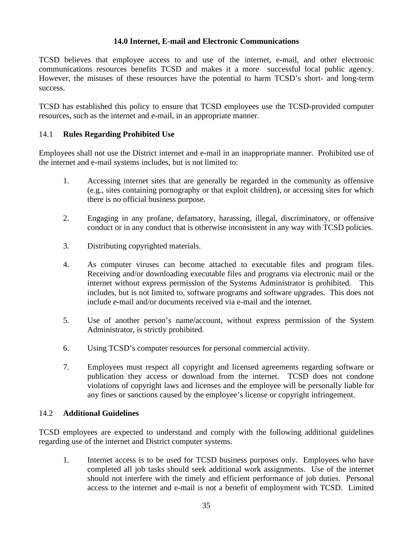#### **14.0 Internet, E-mail and Electronic Communications**

TCSD believes that employee access to and use of the internet, e-mail, and other electronic communications resources benefits TCSD and makes it a more successful local public agency. However, the misuses of these resources have the potential to harm TCSD's short- and long-term success.

TCSD has established this policy to ensure that TCSD employees use the TCSD-provided computer resources, such as the internet and e-mail, in an appropriate manner.

#### 14.1 **Rules Regarding Prohibited Use**

Employees shall not use the District internet and e-mail in an inappropriate manner. Prohibited use of the internet and e-mail systems includes, but is not limited to:

- 1. Accessing internet sites that are generally be regarded in the community as offensive (e.g., sites containing pornography or that exploit children), or accessing sites for which there is no official business purpose.
- 2. Engaging in any profane, defamatory, harassing, illegal, discriminatory, or offensive conduct or in any conduct that is otherwise inconsistent in any way with TCSD policies.
- 3. Distributing copyrighted materials.
- 4. As computer viruses can become attached to executable files and program files. Receiving and/or downloading executable files and programs via electronic mail or the internet without express permission of the Systems Administrator is prohibited. This includes, but is not limited to, software programs and software upgrades. This does not include e-mail and/or documents received via e-mail and the internet.
- 5. Use of another person's name/account, without express permission of the System Administrator, is strictly prohibited.
- 6. Using TCSD's computer resources for personal commercial activity.
- 7. Employees must respect all copyright and licensed agreements regarding software or publication they access or download from the internet. TCSD does not condone violations of copyright laws and licenses and the employee will be personally liable for any fines or sanctions caused by the employee's license or copyright infringement.

#### 14.2 **Additional Guidelines**

TCSD employees are expected to understand and comply with the following additional guidelines regarding use of the internet and District computer systems.

1. Internet access is to be used for TCSD business purposes only. Employees who have completed all job tasks should seek additional work assignments. Use of the internet should not interfere with the timely and efficient performance of job duties. Personal access to the internet and e-mail is not a benefit of employment with TCSD. Limited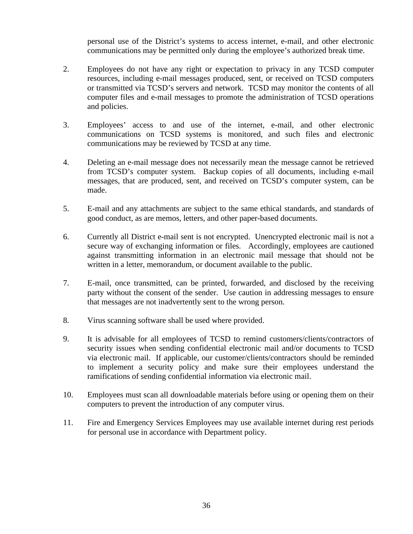personal use of the District's systems to access internet, e-mail, and other electronic communications may be permitted only during the employee's authorized break time.

- 2. Employees do not have any right or expectation to privacy in any TCSD computer resources, including e-mail messages produced, sent, or received on TCSD computers or transmitted via TCSD's servers and network. TCSD may monitor the contents of all computer files and e-mail messages to promote the administration of TCSD operations and policies.
- 3. Employees' access to and use of the internet, e-mail, and other electronic communications on TCSD systems is monitored, and such files and electronic communications may be reviewed by TCSD at any time.
- 4. Deleting an e-mail message does not necessarily mean the message cannot be retrieved from TCSD's computer system. Backup copies of all documents, including e-mail messages, that are produced, sent, and received on TCSD's computer system, can be made.
- 5. E-mail and any attachments are subject to the same ethical standards, and standards of good conduct, as are memos, letters, and other paper-based documents.
- 6. Currently all District e-mail sent is not encrypted. Unencrypted electronic mail is not a secure way of exchanging information or files. Accordingly, employees are cautioned against transmitting information in an electronic mail message that should not be written in a letter, memorandum, or document available to the public.
- 7. E-mail, once transmitted, can be printed, forwarded, and disclosed by the receiving party without the consent of the sender. Use caution in addressing messages to ensure that messages are not inadvertently sent to the wrong person.
- 8. Virus scanning software shall be used where provided.
- 9. It is advisable for all employees of TCSD to remind customers/clients/contractors of security issues when sending confidential electronic mail and/or documents to TCSD via electronic mail. If applicable, our customer/clients/contractors should be reminded to implement a security policy and make sure their employees understand the ramifications of sending confidential information via electronic mail.
- 10. Employees must scan all downloadable materials before using or opening them on their computers to prevent the introduction of any computer virus.
- 11. Fire and Emergency Services Employees may use available internet during rest periods for personal use in accordance with Department policy.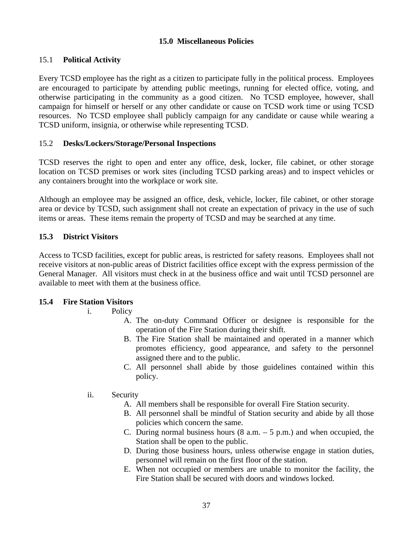#### **15.0 Miscellaneous Policies**

#### 15.1 **Political Activity**

Every TCSD employee has the right as a citizen to participate fully in the political process. Employees are encouraged to participate by attending public meetings, running for elected office, voting, and otherwise participating in the community as a good citizen. No TCSD employee, however, shall campaign for himself or herself or any other candidate or cause on TCSD work time or using TCSD resources. No TCSD employee shall publicly campaign for any candidate or cause while wearing a TCSD uniform, insignia, or otherwise while representing TCSD.

#### 15.2 **Desks/Lockers/Storage/Personal Inspections**

TCSD reserves the right to open and enter any office, desk, locker, file cabinet, or other storage location on TCSD premises or work sites (including TCSD parking areas) and to inspect vehicles or any containers brought into the workplace or work site.

Although an employee may be assigned an office, desk, vehicle, locker, file cabinet, or other storage area or device by TCSD, such assignment shall not create an expectation of privacy in the use of such items or areas. These items remain the property of TCSD and may be searched at any time.

#### **15.3 District Visitors**

Access to TCSD facilities, except for public areas, is restricted for safety reasons. Employees shall not receive visitors at non-public areas of District facilities office except with the express permission of the General Manager. All visitors must check in at the business office and wait until TCSD personnel are available to meet with them at the business office.

## **15.4 Fire Station Visitors**

- i. Policy
	- A. The on-duty Command Officer or designee is responsible for the operation of the Fire Station during their shift.
	- B. The Fire Station shall be maintained and operated in a manner which promotes efficiency, good appearance, and safety to the personnel assigned there and to the public.
	- C. All personnel shall abide by those guidelines contained within this policy.

#### ii. Security

- A. All members shall be responsible for overall Fire Station security.
- B. All personnel shall be mindful of Station security and abide by all those policies which concern the same.
- C. During normal business hours  $(8 \text{ a.m.} 5 \text{ p.m.})$  and when occupied, the Station shall be open to the public.
- D. During those business hours, unless otherwise engage in station duties, personnel will remain on the first floor of the station.
- E. When not occupied or members are unable to monitor the facility, the Fire Station shall be secured with doors and windows locked.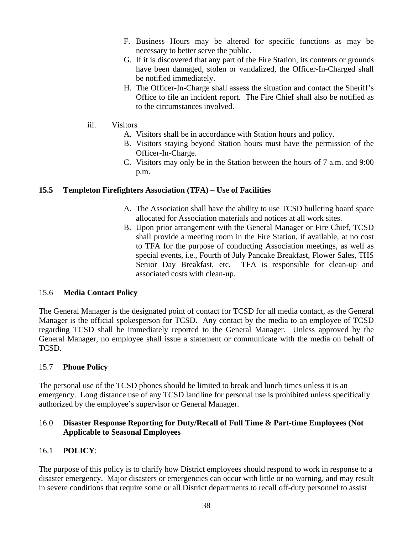- F. Business Hours may be altered for specific functions as may be necessary to better serve the public.
- G. If it is discovered that any part of the Fire Station, its contents or grounds have been damaged, stolen or vandalized, the Officer-In-Charged shall be notified immediately.
- H. The Officer-In-Charge shall assess the situation and contact the Sheriff's Office to file an incident report. The Fire Chief shall also be notified as to the circumstances involved.
- iii. Visitors
	- A. Visitors shall be in accordance with Station hours and policy.
	- B. Visitors staying beyond Station hours must have the permission of the Officer-In-Charge.
	- C. Visitors may only be in the Station between the hours of 7 a.m. and 9:00 p.m.

#### **15.5 Templeton Firefighters Association (TFA) – Use of Facilities**

- A. The Association shall have the ability to use TCSD bulleting board space allocated for Association materials and notices at all work sites.
- B. Upon prior arrangement with the General Manager or Fire Chief, TCSD shall provide a meeting room in the Fire Station, if available, at no cost to TFA for the purpose of conducting Association meetings, as well as special events, i.e., Fourth of July Pancake Breakfast, Flower Sales, THS Senior Day Breakfast, etc. TFA is responsible for clean-up and associated costs with clean-up.

#### 15.6 **Media Contact Policy**

The General Manager is the designated point of contact for TCSD for all media contact, as the General Manager is the official spokesperson for TCSD. Any contact by the media to an employee of TCSD regarding TCSD shall be immediately reported to the General Manager. Unless approved by the General Manager, no employee shall issue a statement or communicate with the media on behalf of TCSD.

## 15.7 **Phone Policy**

The personal use of the TCSD phones should be limited to break and lunch times unless it is an emergency. Long distance use of any TCSD landline for personal use is prohibited unless specifically authorized by the employee's supervisor or General Manager.

## 16.0 **Disaster Response Reporting for Duty/Recall of Full Time & Part-time Employees (Not Applicable to Seasonal Employees**

## 16.1 **POLICY**:

The purpose of this policy is to clarify how District employees should respond to work in response to a disaster emergency. Major disasters or emergencies can occur with little or no warning, and may result in severe conditions that require some or all District departments to recall off-duty personnel to assist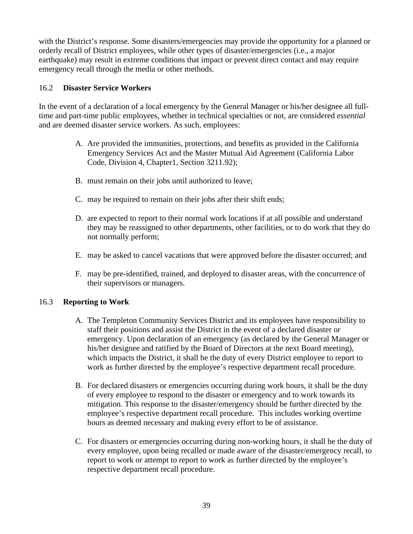with the District's response. Some disasters/emergencies may provide the opportunity for a planned or orderly recall of District employees, while other types of disaster/emergencies (i.e., a major earthquake) may result in extreme conditions that impact or prevent direct contact and may require emergency recall through the media or other methods.

## 16.2 **Disaster Service Workers**

In the event of a declaration of a local emergency by the General Manager or his/her designee all fulltime and part-time public employees, whether in technical specialties or not, are considered *essential*  and are deemed disaster service workers. As such, employees:

- A. Are provided the immunities, protections, and benefits as provided in the California Emergency Services Act and the Master Mutual Aid Agreement (California Labor Code, Division 4, Chapter1, Section 3211.92);
- B. must remain on their jobs until authorized to leave;
- C. may be required to remain on their jobs after their shift ends;
- D. are expected to report to their normal work locations if at all possible and understand they may be reassigned to other departments, other facilities, or to do work that they do not normally perform;
- E. may be asked to cancel vacations that were approved before the disaster occurred; and
- F. may be pre-identified, trained, and deployed to disaster areas, with the concurrence of their supervisors or managers.

# 16.3 **Reporting to Work**

- A. The Templeton Community Services District and its employees have responsibility to staff their positions and assist the District in the event of a declared disaster or emergency. Upon declaration of an emergency (as declared by the General Manager or his/her designee and ratified by the Board of Directors at the next Board meeting), which impacts the District, it shall be the duty of every District employee to report to work as further directed by the employee's respective department recall procedure.
- B. For declared disasters or emergencies occurring during work hours, it shall be the duty of every employee to respond to the disaster or emergency and to work towards its mitigation. This response to the disaster/emergency should be further directed by the employee's respective department recall procedure. This includes working overtime hours as deemed necessary and making every effort to be of assistance.
- C. For disasters or emergencies occurring during non-working hours, it shall be the duty of every employee, upon being recalled or made aware of the disaster/emergency recall, to report to work or attempt to report to work as further directed by the employee's respective department recall procedure.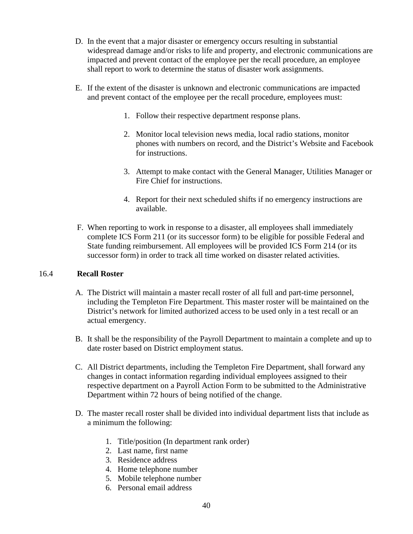- D. In the event that a major disaster or emergency occurs resulting in substantial widespread damage and/or risks to life and property, and electronic communications are impacted and prevent contact of the employee per the recall procedure, an employee shall report to work to determine the status of disaster work assignments.
- E. If the extent of the disaster is unknown and electronic communications are impacted and prevent contact of the employee per the recall procedure, employees must:
	- 1. Follow their respective department response plans.
	- 2. Monitor local television news media, local radio stations, monitor phones with numbers on record, and the District's Website and Facebook for instructions.
	- 3. Attempt to make contact with the General Manager, Utilities Manager or Fire Chief for instructions.
	- 4. Report for their next scheduled shifts if no emergency instructions are available.
- F. When reporting to work in response to a disaster, all employees shall immediately complete ICS Form 211 (or its successor form) to be eligible for possible Federal and State funding reimbursement. All employees will be provided ICS Form 214 (or its successor form) in order to track all time worked on disaster related activities.

#### 16.4 **Recall Roster**

- A. The District will maintain a master recall roster of all full and part-time personnel, including the Templeton Fire Department. This master roster will be maintained on the District's network for limited authorized access to be used only in a test recall or an actual emergency.
- B. It shall be the responsibility of the Payroll Department to maintain a complete and up to date roster based on District employment status.
- C. All District departments, including the Templeton Fire Department, shall forward any changes in contact information regarding individual employees assigned to their respective department on a Payroll Action Form to be submitted to the Administrative Department within 72 hours of being notified of the change.
- D. The master recall roster shall be divided into individual department lists that include as a minimum the following:
	- 1. Title/position (In department rank order)
	- 2. Last name, first name
	- 3. Residence address
	- 4. Home telephone number
	- 5. Mobile telephone number
	- 6. Personal email address